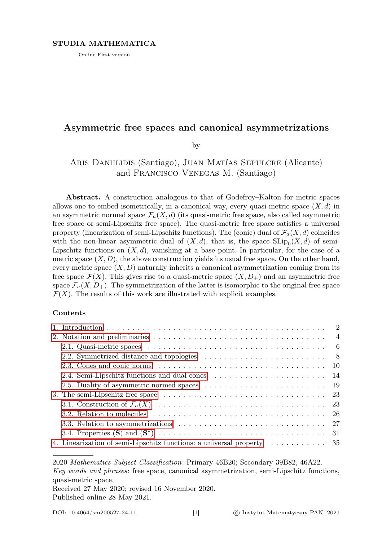Online First version

## Asymmetric free spaces and canonical asymmetrizations

by

# Aris Daniilidis (Santiago), Juan Matías Sepulcre (Alicante) and Francisco Venegas M. (Santiago)

Abstract. A construction analogous to that of Godefroy–Kalton for metric spaces allows one to embed isometrically, in a canonical way, every quasi-metric space  $(X, d)$  in an asymmetric normed space  $\mathcal{F}_a(X, d)$  (its quasi-metric free space, also called asymmetric free space or semi-Lipschitz free space). The quasi-metric free space satisfies a universal property (linearization of semi-Lipschitz functions). The (conic) dual of  $\mathcal{F}_a(X, d)$  coincides with the non-linear asymmetric dual of  $(X, d)$ , that is, the space  $\text{SLip}_0(X, d)$  of semi-Lipschitz functions on  $(X, d)$ , vanishing at a base point. In particular, for the case of a metric space  $(X, D)$ , the above construction yields its usual free space. On the other hand, every metric space  $(X, D)$  naturally inherits a canonical asymmetrization coming from its free space  $\mathcal{F}(X)$ . This gives rise to a quasi-metric space  $(X, D<sub>+</sub>)$  and an asymmetric free space  $\mathcal{F}_a(X, D_+)$ . The symmetrization of the latter is isomorphic to the original free space  $\mathcal{F}(X)$ . The results of this work are illustrated with explicit examples.

### Contents

|  | 2.1. Quasi-metric spaces $\ldots \ldots \ldots \ldots \ldots \ldots \ldots \ldots \ldots \ldots \ldots \ldots \ldots$ |  |
|--|-----------------------------------------------------------------------------------------------------------------------|--|
|  |                                                                                                                       |  |
|  |                                                                                                                       |  |
|  |                                                                                                                       |  |
|  |                                                                                                                       |  |
|  | 3. The semi-Lipschitz free space $\dots \dots \dots \dots \dots \dots \dots \dots \dots \dots \dots \dots \dots$ 23   |  |
|  |                                                                                                                       |  |
|  |                                                                                                                       |  |
|  |                                                                                                                       |  |
|  |                                                                                                                       |  |
|  | 4. Linearization of semi-Lipschitz functions: a universal property  35                                                |  |

2020 Mathematics Subject Classification: Primary 46B20; Secondary 39B82, 46A22. Key words and phrases: free space, canonical asymmetrization, semi-Lipschitz functions, quasi-metric space.

Received 27 May 2020; revised 16 November 2020. Published online 28 May 2021.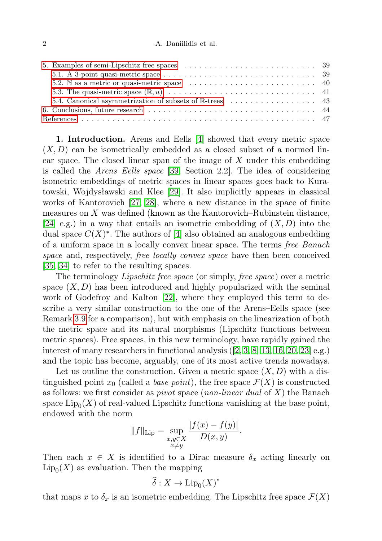| 5.1. A 3-point quasi-metric space $\ldots \ldots \ldots \ldots \ldots \ldots \ldots \ldots \ldots \ldots \ldots$ 39                     |  |
|-----------------------------------------------------------------------------------------------------------------------------------------|--|
| 5.2. N as a metric or quasi-metric space $\ldots \ldots \ldots \ldots \ldots \ldots \ldots \ldots$ 40                                   |  |
|                                                                                                                                         |  |
|                                                                                                                                         |  |
| 6. Conclusions, future research $\ldots$ , $\ldots$ , $\ldots$ , $\ldots$ , $\ldots$ , $\ldots$ , $\ldots$ , $\ldots$ , $\phantom{a}44$ |  |
|                                                                                                                                         |  |

<span id="page-1-0"></span>1. Introduction. Arens and Eells [\[4\]](#page-46-1) showed that every metric space  $(X, D)$  can be isometrically embedded as a closed subset of a normed linear space. The closed linear span of the image of  $X$  under this embedding is called the Arens–Eells space [\[39,](#page-47-0) Section 2.2]. The idea of considering isometric embeddings of metric spaces in linear spaces goes back to Kuratowski, Wojdysławski and Klee [\[29\]](#page-47-1). It also implicitly appears in classical works of Kantorovich [\[27,](#page-47-2) [28\]](#page-47-3), where a new distance in the space of finite measures on X was defined (known as the Kantorovich–Rubinstein distance, [\[24\]](#page-47-4) e.g.) in a way that entails an isometric embedding of  $(X, D)$  into the dual space  $C(X)^*$ . The authors of [\[4\]](#page-46-1) also obtained an analogous embedding of a uniform space in a locally convex linear space. The terms free Banach space and, respectively, free locally convex space have then been conceived [\[35,](#page-47-5) [34\]](#page-47-6) to refer to the resulting spaces.

The terminology *Lipschitz free space* (or simply, *free space*) over a metric space  $(X, D)$  has been introduced and highly popularized with the seminal work of Godefroy and Kalton [\[22\]](#page-47-7), where they employed this term to describe a very similar construction to the one of the Arens–Eells space (see Remark [3.9](#page-26-1) for a comparison), but with emphasis on the linearization of both the metric space and its natural morphisms (Lipschitz functions between metric spaces). Free spaces, in this new terminology, have rapidly gained the interest of many researchers in functional analysis ([\[2,](#page-46-2) [3,](#page-46-3) [8,](#page-46-4) [13,](#page-46-5) [16,](#page-46-6) [20,](#page-47-8) [23\]](#page-47-9) e.g.) and the topic has become, arguably, one of its most active trends nowadays.

Let us outline the construction. Given a metric space  $(X, D)$  with a distinguished point  $x_0$  (called a *base point*), the free space  $\mathcal{F}(X)$  is constructed as follows: we first consider as *pivot* space (*non-linear dual* of  $X$ ) the Banach space  $\mathrm{Lip}_0(X)$  of real-valued Lipschitz functions vanishing at the base point, endowed with the norm

$$
||f||_{\text{Lip}} = \sup_{\substack{x,y \in X \\ x \neq y}} \frac{|f(x) - f(y)|}{D(x,y)}.
$$

Then each  $x \in X$  is identified to a Dirac measure  $\delta_x$  acting linearly on  $\text{Lip}_0(X)$  as evaluation. Then the mapping

$$
\widehat{\delta}: X \to \mathrm{Lip}_0(X)^*
$$

that maps x to  $\delta_x$  is an isometric embedding. The Lipschitz free space  $\mathcal{F}(X)$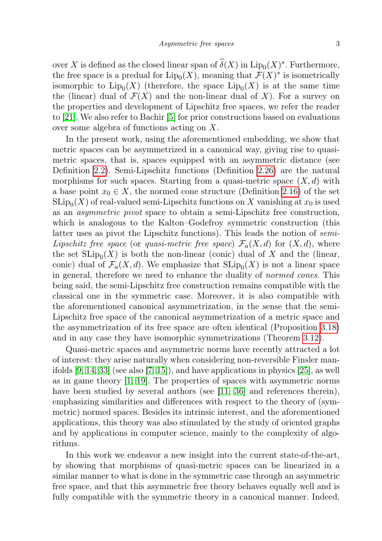over X is defined as the closed linear span of  $\widehat{\delta}(X)$  in  $\text{Lip}_0(X)^*$ . Furthermore, the free space is a predual for  $\mathrm{Lip}_0(X)$ , meaning that  $\mathcal{F}(X)^*$  is isometrically isomorphic to  $\text{Lip}_0(X)$  (therefore, the space  $\text{Lip}_0(X)$  is at the same time the (linear) dual of  $\mathcal{F}(X)$  and the non-linear dual of X). For a survey on the properties and development of Lipschitz free spaces, we refer the reader to [\[21\]](#page-47-10). We also refer to Bachir [\[5\]](#page-46-7) for prior constructions based on evaluations over some algebra of functions acting on X.

In the present work, using the aforementioned embedding, we show that metric spaces can be asymmetrized in a canonical way, giving rise to quasimetric spaces, that is, spaces equipped with an asymmetric distance (see Definition [2.2\)](#page-5-1). Semi-Lipschitz functions (Definition [2.26\)](#page-14-0) are the natural morphisms for such spaces. Starting from a quasi-metric space  $(X, d)$  with a base point  $x_0 \in X$ , the normed cone structure (Definition [2.16\)](#page-10-0) of the set  $\mathrm{SLip}_0(X)$  of real-valued semi-Lipschitz functions on X vanishing at  $x_0$  is used as an asymmetric pivot space to obtain a semi-Lipschitz free construction, which is analogous to the Kalton–Godefroy symmetric construction (this latter uses as pivot the Lipschitz functions). This leads the notion of semi-Lipschitz free space (or quasi-metric free space)  $\mathcal{F}_a(X, d)$  for  $(X, d)$ , where the set  $\text{SLip}_0(X)$  is both the non-linear (conic) dual of X and the (linear, conic) dual of  $\mathcal{F}_a(X, d)$ . We emphasize that  $\text{SLip}_0(X)$  is not a linear space in general, therefore we need to enhance the duality of normed cones. This being said, the semi-Lipschitz free construction remains compatible with the classical one in the symmetric case. Moreover, it is also compatible with the aforementioned canonical asymmetrization, in the sense that the semi-Lipschitz free space of the canonical asymmetrization of a metric space and the asymmetrization of its free space are often identical (Proposition [3.18\)](#page-30-1) and in any case they have isomorphic symmetrizations (Theorem [3.12\)](#page-28-0).

Quasi-metric spaces and asymmetric norms have recently attracted a lot of interest: they arise naturally when considering non-reversible Finsler manifolds  $[9, 14, 33]$  $[9, 14, 33]$  $[9, 14, 33]$  (see also  $[7, 15]$  $[7, 15]$ ), and have applications in physics  $[25]$ , as well as in game theory [\[1,](#page-46-12) [19\]](#page-46-13). The properties of spaces with asymmetric norms have been studied by several authors (see [\[11,](#page-46-14) [36\]](#page-47-13) and references therein), emphasizing similarities and differences with respect to the theory of (symmetric) normed spaces. Besides its intrinsic interest, and the aforementioned applications, this theory was also stimulated by the study of oriented graphs and by applications in computer science, mainly to the complexity of algorithms.

In this work we endeavor a new insight into the current state-of-the-art, by showing that morphisms of quasi-metric spaces can be linearized in a similar manner to what is done in the symmetric case through an asymmetric free space, and that this asymmetric free theory behaves equally well and is fully compatible with the symmetric theory in a canonical manner. Indeed,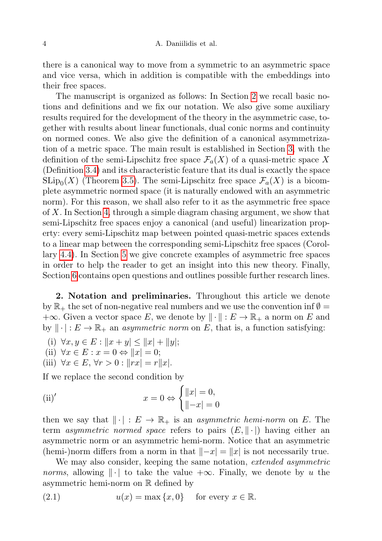there is a canonical way to move from a symmetric to an asymmetric space and vice versa, which in addition is compatible with the embeddings into their free spaces.

The manuscript is organized as follows: In Section [2](#page-3-0) we recall basic notions and definitions and we fix our notation. We also give some auxiliary results required for the development of the theory in the asymmetric case, together with results about linear functionals, dual conic norms and continuity on normed cones. We also give the definition of a canonical asymmetrization of a metric space. The main result is established in Section [3,](#page-22-0) with the definition of the semi-Lipschitz free space  $\mathcal{F}_a(X)$  of a quasi-metric space X (Definition [3.4\)](#page-24-0) and its characteristic feature that its dual is exactly the space  $\text{SLip}_0(X)$  (Theorem [3.5\)](#page-24-1). The semi-Lipschitz free space  $\mathcal{F}_a(X)$  is a bicomplete asymmetric normed space (it is naturally endowed with an asymmetric norm). For this reason, we shall also refer to it as the asymmetric free space of X. In Section [4,](#page-34-0) through a simple diagram chasing argument, we show that semi-Lipschitz free spaces enjoy a canonical (and useful) linearization property: every semi-Lipschitz map between pointed quasi-metric spaces extends to a linear map between the corresponding semi-Lipschitz free spaces (Corollary [4.4\)](#page-36-0). In Section [5](#page-38-0) we give concrete examples of asymmetric free spaces in order to help the reader to get an insight into this new theory. Finally, Section [6](#page-43-0) contains open questions and outlines possible further research lines.

<span id="page-3-0"></span>2. Notation and preliminaries. Throughout this article we denote by  $\mathbb{R}_+$  the set of non-negative real numbers and we use the convention inf  $\emptyset =$  $+\infty$ . Given a vector space E, we denote by  $\|\cdot\|: E \to \mathbb{R}_+$  a norm on E and by  $\|\cdot\|: E \to \mathbb{R}_+$  an *asymmetric norm* on E, that is, a function satisfying:

- (i)  $\forall x, y \in E : ||x + y|| \le ||x| + ||y||;$
- (ii)  $\forall x \in E : x = 0 \Leftrightarrow ||x|| = 0;$
- (iii)  $\forall x \in E, \forall r > 0 : ||rx| = r||x|.$

If we replace the second condition by

(ii)' 
$$
x = 0 \Leftrightarrow \begin{cases} ||x| = 0, \\ ||-x| = 0 \end{cases}
$$

then we say that  $\|\cdot\| : E \to \mathbb{R}_+$  is an *asymmetric hemi-norm* on E. The term asymmetric normed space refers to pairs  $(E, \|\cdot\|)$  having either an asymmetric norm or an asymmetric hemi-norm. Notice that an asymmetric (hemi-)norm differs from a norm in that  $\|-x| = \|x\|$  is not necessarily true.

<span id="page-3-1"></span>We may also consider, keeping the same notation, extended asymmetric *norms*, allowing  $\|\cdot\|$  to take the value  $+\infty$ . Finally, we denote by u the asymmetric hemi-norm on R defined by

(2.1) 
$$
u(x) = \max\{x, 0\} \text{ for every } x \in \mathbb{R}.
$$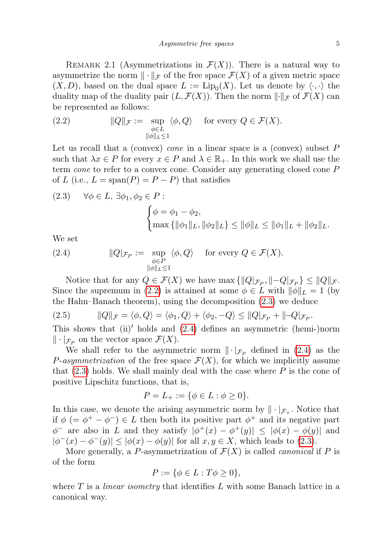<span id="page-4-3"></span>REMARK 2.1 (Asymmetrizations in  $\mathcal{F}(X)$ ). There is a natural way to asymmetrize the norm  $\|\cdot\|_{\mathcal{F}}$  of the free space  $\mathcal{F}(X)$  of a given metric space  $(X, D)$ , based on the dual space  $L := \text{Lip}_0(X)$ . Let us denote by  $\langle \cdot, \cdot \rangle$  the duality map of the duality pair  $(L, \mathcal{F}(X))$ . Then the norm  $\lVert \cdot \rVert_{\mathcal{F}}$  of  $\mathcal{F}(X)$  can be represented as follows:

<span id="page-4-0"></span>(2.2) 
$$
\|Q\|_{\mathcal{F}} := \sup_{\substack{\phi \in L \\ \|\phi\|_{L} \le 1}} \langle \phi, Q \rangle \quad \text{for every } Q \in \mathcal{F}(X).
$$

Let us recall that a (convex) *cone* in a linear space is a (convex) subset  $P$ such that  $\lambda x \in P$  for every  $x \in P$  and  $\lambda \in \mathbb{R}_+$ . In this work we shall use the term cone to refer to a convex cone. Consider any generating closed cone P of L (i.e.,  $L = \text{span}(P) = P - P$ ) that satisfies

<span id="page-4-1"></span>(2.3) 
$$
\forall \phi \in L, \exists \phi_1, \phi_2 \in P:
$$
  

$$
\begin{cases} \phi = \phi_1 - \phi_2, \\ \max{\{\|\phi_1\|_L, \|\phi_2\|_L\}} \le \|\phi\|_L \le \|\phi_1\|_L + \|\phi_2\|_L. \end{cases}
$$

<span id="page-4-2"></span>We set

(2.4) 
$$
\|Q|_{\mathcal{F}_P} := \sup_{\substack{\phi \in P \\ \|\phi\|_L \le 1}} \langle \phi, Q \rangle \quad \text{for every } Q \in \mathcal{F}(X).
$$

Notice that for any  $Q \in \mathcal{F}(X)$  we have  $\max\{\|Q|\mathcal{F}_P, \|-Q|\mathcal{F}_P\} \leq \|Q\|\mathcal{F}.$ Since the supremum in [\(2.2\)](#page-4-0) is attained at some  $\phi \in L$  with  $\|\phi\|_{L} = 1$  (by the Hahn–Banach theorem), using the decomposition [\(2.3\)](#page-4-1) we deduce

(2.5) 
$$
||Q||_{\mathcal{F}} = \langle \phi, Q \rangle = \langle \phi_1, Q \rangle + \langle \phi_2, -Q \rangle \le ||Q|_{\mathcal{F}_P} + ||-Q|_{\mathcal{F}_P}.
$$

This shows that  $(ii)'$  holds and  $(2.4)$  defines an asymmetric (hemi-)norm  $\|\cdot\|_{\mathcal{F}_P}$  on the vector space  $\mathcal{F}(X)$ .

We shall refer to the asymmetric norm  $\|\cdot|_{\mathcal{F}_P}$  defined in [\(2.4\)](#page-4-2) as the *P*-asymmetrization of the free space  $\mathcal{F}(X)$ , for which we implicitly assume that  $(2.3)$  holds. We shall mainly deal with the case where P is the cone of positive Lipschitz functions, that is,

<span id="page-4-4"></span>
$$
P = L_{+} := \{ \phi \in L : \phi \ge 0 \}.
$$

In this case, we denote the arising asymmetric norm by  $\|\cdot\|_{\mathcal{F}_+}$ . Notice that if  $\phi$  (=  $\phi^+$  –  $\phi^-$ )  $\in$  L then both its positive part  $\phi^+$  and its negative part  $\phi^-$  are also in L and they satisfy  $|\phi^+(x) - \phi^+(y)| \leq |\phi(x) - \phi(y)|$  and  $|\phi^-(x) - \phi^-(y)| \leq |\phi(x) - \phi(y)|$  for all  $x, y \in X$ , which leads to [\(2.3\)](#page-4-1).

More generally, a P-asymmetrization of  $\mathcal{F}(X)$  is called *canonical* if P is of the form

$$
P := \{ \phi \in L : T\phi \ge 0 \},
$$

where  $T$  is a *linear isometry* that identifies  $L$  with some Banach lattice in a canonical way.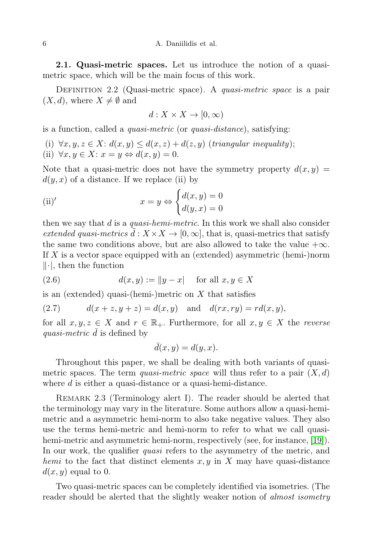6 A. Daniilidis et al.

<span id="page-5-0"></span>2.1. Quasi-metric spaces. Let us introduce the notion of a quasimetric space, which will be the main focus of this work.

<span id="page-5-1"></span>DEFINITION 2.2 (Quasi-metric space). A *quasi-metric space* is a pair  $(X, d)$ , where  $X \neq \emptyset$  and

$$
d: X \times X \to [0, \infty)
$$

is a function, called a quasi-metric (or quasi-distance), satisfying:

(i)  $\forall x, y, z \in X: d(x, y) \leq d(x, z) + d(z, y)$  (triangular inequality); (ii)  $\forall x, y \in X: x = y \Leftrightarrow d(x, y) = 0.$ 

Note that a quasi-metric does not have the symmetry property  $d(x, y) =$  $d(y, x)$  of a distance. If we replace (ii) by

(ii)' 
$$
x = y \Leftrightarrow \begin{cases} d(x, y) = 0 \\ d(y, x) = 0 \end{cases}
$$

then we say that  $d$  is a *quasi-hemi-metric*. In this work we shall also consider extended quasi-metrics  $d : X \times X \to [0, \infty]$ , that is, quasi-metrics that satisfy the same two conditions above, but are also allowed to take the value  $+\infty$ . If X is a vector space equipped with an (extended) asymmetric (hemi-)norm  $\|\cdot\|$ , then the function

<span id="page-5-3"></span>
$$
(2.6) \t d(x,y) := \|y - x\| \text{ for all } x, y \in X
$$

is an (extended) quasi-(hemi-)metric on  $X$  that satisfies

(2.7) 
$$
d(x + z, y + z) = d(x, y) \text{ and } d(rx, ry) = rd(x, y),
$$

for all  $x, y, z \in X$  and  $r \in \mathbb{R}_+$ . Furthermore, for all  $x, y \in X$  the *reverse* quasi-metric  $d$  is defined by

<span id="page-5-2"></span>
$$
\bar{d}(x, y) = d(y, x).
$$

Throughout this paper, we shall be dealing with both variants of quasimetric spaces. The term *quasi-metric space* will thus refer to a pair  $(X, d)$ where d is either a quasi-distance or a quasi-hemi-distance.

REMARK 2.3 (Terminology alert I). The reader should be alerted that the terminology may vary in the literature. Some authors allow a quasi-hemimetric and a asymmetric hemi-norm to also take negative values. They also use the terms hemi-metric and hemi-norm to refer to what we call quasi-hemi-metric and asymmetric hemi-norm, respectively (see, for instance, [\[19\]](#page-46-13)). In our work, the qualifier *quasi* refers to the asymmetry of the metric, and hemi to the fact that distinct elements  $x, y$  in X may have quasi-distance  $d(x, y)$  equal to 0.

Two quasi-metric spaces can be completely identified via isometries. (The reader should be alerted that the slightly weaker notion of *almost isometry*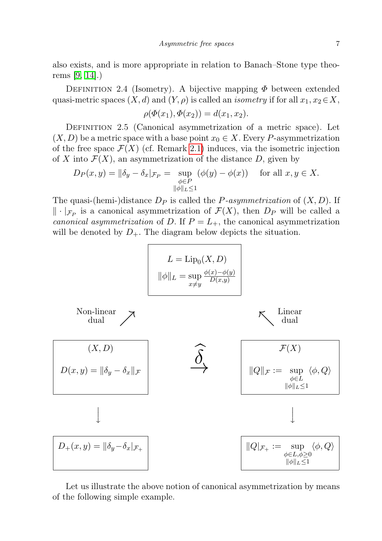also exists, and is more appropriate in relation to Banach–Stone type theorems [\[9,](#page-46-8) [14\]](#page-46-9).)

DEFINITION 2.4 (Isometry). A bijective mapping  $\Phi$  between extended quasi-metric spaces  $(X, d)$  and  $(Y, \rho)$  is called an *isometry* if for all  $x_1, x_2 \in X$ ,

$$
\rho(\Phi(x_1), \Phi(x_2)) = d(x_1, x_2).
$$

<span id="page-6-0"></span>DEFINITION 2.5 (Canonical asymmetrization of a metric space). Let  $(X, D)$  be a metric space with a base point  $x_0 \in X$ . Every P-asymmetrization of the free space  $\mathcal{F}(X)$  (cf. Remark [2.1\)](#page-4-3) induces, via the isometric injection of X into  $\mathcal{F}(X)$ , an asymmetrization of the distance D, given by

$$
D_P(x, y) = \|\delta_y - \delta_x\|_{\mathcal{F}_P} = \sup_{\substack{\phi \in P \\ \|\phi\|_{L} \le 1}} (\phi(y) - \phi(x)) \quad \text{for all } x, y \in X.
$$

The quasi-(hemi-)distance  $D_P$  is called the P-asymmetrization of  $(X, D)$ . If  $\|\cdot\|_{\mathcal{F}_P}$  is a canonical asymmetrization of  $\mathcal{F}(X)$ , then  $D_P$  will be called a canonical asymmetrization of D. If  $P = L_{+}$ , the canonical asymmetrization will be denoted by  $D_{+}$ . The diagram below depicts the situation.



Let us illustrate the above notion of canonical asymmetrization by means of the following simple example.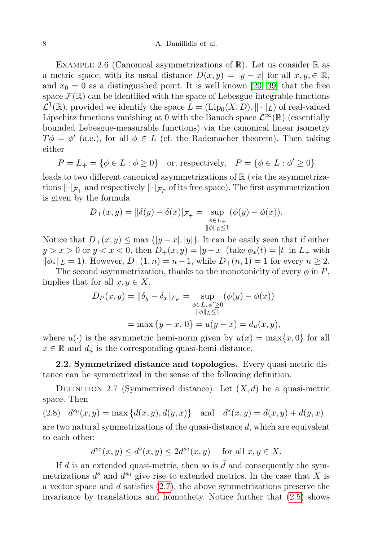<span id="page-7-2"></span>EXAMPLE 2.6 (Canonical asymmetrizations of  $\mathbb{R}$ ). Let us consider  $\mathbb{R}$  as a metric space, with its usual distance  $D(x, y) = |y - x|$  for all  $x, y \in \mathbb{R}$ , and  $x_0 = 0$  as a distinguished point. It is well known [\[20,](#page-47-8) [39\]](#page-47-0) that the free space  $\mathcal{F}(\mathbb{R})$  can be identified with the space of Lebesgue-integrable functions  $\mathcal{L}^1(\mathbb{R})$ , provided we identify the space  $L = (\text{Lip}_0(X, D), \|\cdot\|_L)$  of real-valued Lipschitz functions vanishing at 0 with the Banach space  $\mathcal{L}^{\infty}(\mathbb{R})$  (essentially bounded Lebesgue-measurable functions) via the canonical linear isometry  $T\phi = \phi'$  (a.e.), for all  $\phi \in L$  (cf. the Rademacher theorem). Then taking either

$$
P = L_+ = \{ \phi \in L : \phi \ge 0 \} \quad \text{or, respectively,} \quad P = \{ \phi \in L : \phi' \ge 0 \}
$$

leads to two different canonical asymmetrizations of  $\mathbb R$  (via the asymmetrizations  $\lVert \cdot \rVert_{\mathcal{F}_+}$  and respectively  $\lVert \cdot \rVert_{\mathcal{F}_P}$  of its free space). The first asymmetrization is given by the formula

$$
D_{+}(x, y) = ||\delta(y) - \delta(x)|_{\mathcal{F}_{+}} = \sup_{\substack{\phi \in L_{+} \\ ||\phi||_{L} \le 1}} (\phi(y) - \phi(x)).
$$

Notice that  $D_+(x, y) \leq \max\{|y-x|, |y|\}.$  It can be easily seen that if either  $y > x > 0$  or  $y < x < 0$ , then  $D_+(x, y) = |y - x|$  (take  $\phi_*(t) = |t|$  in  $L_+$  with  $\|\phi_*\|_L = 1$ . However,  $D_+(1, n) = n - 1$ , while  $D_+(n, 1) = 1$  for every  $n \geq 2$ .

The second asymmetrization, thanks to the monotonicity of every  $\phi$  in P, implies that for all  $x, y \in X$ ,

$$
D_P(x, y) = ||\delta_y - \delta_x|_{\mathcal{F}_P} = \sup_{\substack{\phi \in L, \phi' \ge 0 \\ ||\phi||_L \le 1}} (\phi(y) - \phi(x))
$$
  
= max {y - x, 0} = u(y - x) = d\_u(x, y),

where  $u(\cdot)$  is the asymmetric hemi-norm given by  $u(x) = \max\{x, 0\}$  for all  $x \in \mathbb{R}$  and  $d_u$  is the corresponding quasi-hemi-distance.

<span id="page-7-0"></span>2.2. Symmetrized distance and topologies. Every quasi-metric distance can be symmetrized in the sense of the following definition.

<span id="page-7-3"></span><span id="page-7-1"></span>DEFINITION 2.7 (Symmetrized distance). Let  $(X, d)$  be a quasi-metric space. Then

(2.8) 
$$
d^{s_0}(x, y) = \max \{d(x, y), d(y, x)\}\
$$
 and  $d^{s}(x, y) = d(x, y) + d(y, x)$ 

are two natural symmetrizations of the quasi-distance d, which are equivalent to each other:

$$
d^{s_0}(x,y) \le d^s(x,y) \le 2d^{s_0}(x,y) \quad \text{ for all } x, y \in X.
$$

If d is an extended quasi-metric, then so is  $d$  and consequently the symmetrizations  $d^s$  and  $d^{s_0}$  give rise to extended metrics. In the case that X is a vector space and d satisfies [\(2.7\)](#page-5-2), the above symmetrizations preserve the invariance by translations and homothety. Notice further that [\(2.5\)](#page-4-4) shows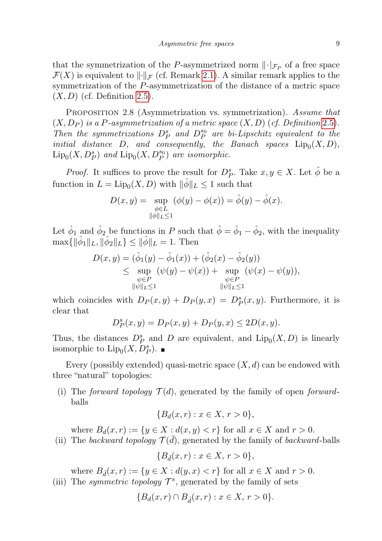that the symmetrization of the P-asymmetrized norm  $\lVert \cdot \rVert_{\mathcal{F}_P}$  of a free space  $\mathcal{F}(X)$  is equivalent to  $\lVert \cdot \rVert_{\mathcal{F}}$  (cf. Remark [2.1\)](#page-4-3). A similar remark applies to the symmetrization of the P-asymmetrization of the distance of a metric space  $(X, D)$  (cf. Definition [2.5\)](#page-6-0).

PROPOSITION 2.8 (Asymmetrization vs. symmetrization). Assume that  $(X, D_P)$  is a P-asymmetrization of a metric space  $(X, D)$  (cf. Definition 2.[5\)](#page-6-0). Then the symmetrizations  $D_P^s$  and  $D_P^{s_0}$  are bi-Lipschitz equivalent to the initial distance D, and consequently, the Banach spaces  $\text{Lip}_0(X, D)$ ,  $\mathrm{Lip}_0(X, D_P^s)$  and  $\mathrm{Lip}_0(X, D_P^{s_0})$  are isomorphic.

*Proof.* It suffices to prove the result for  $D_P^s$ . Take  $x, y \in X$ . Let  $\hat{\phi}$  be a function in  $L = \text{Lip}_0(X, D)$  with  $\|\hat{\phi}\|_{L} \leq 1$  such that

$$
D(x,y) = \sup_{\substack{\phi \in L \\ \|\phi\|_{L} \le 1}} (\phi(y) - \phi(x)) = \hat{\phi}(y) - \hat{\phi}(x).
$$

Let  $\hat{\phi}_1$  and  $\hat{\phi}_2$  be functions in P such that  $\hat{\phi} = \hat{\phi}_1 - \hat{\phi}_2$ , with the inequality  $\max\{\|\hat{\phi}_1\|_L, \|\hat{\phi}_2\|_L\} \le \|\hat{\phi}\|_L = 1.$  Then

$$
D(x,y) = (\hat{\phi}_1(y) - \hat{\phi}_1(x)) + (\hat{\phi}_2(x) - \hat{\phi}_2(y))
$$
  
\n
$$
\leq \sup_{\substack{\psi \in P \\ \|\psi\|_L \leq 1}} (\psi(y) - \psi(x)) + \sup_{\substack{\psi \in P \\ \|\psi\|_L \leq 1}} (\psi(x) - \psi(y)),
$$

which coincides with  $D_P(x, y) + D_P(y, x) = D_P^s(x, y)$ . Furthermore, it is clear that

$$
D_P^s(x, y) = D_P(x, y) + D_P(y, x) \le 2D(x, y).
$$

Thus, the distances  $D_P^s$  and D are equivalent, and  $\text{Lip}_0(X, D)$  is linearly isomorphic to  $\text{Lip}_0(X, D_P^s)$ .

Every (possibly extended) quasi-metric space  $(X, d)$  can be endowed with three "natural" topologies:

(i) The forward topology  $\mathcal{T}(d)$ , generated by the family of open forwardballs

$$
\{B_d(x,r) : x \in X, r > 0\},\
$$

where  $B_d(x,r) := \{y \in X : d(x,y) < r\}$  for all  $x \in X$  and  $r > 0$ .

(ii) The backward topology  $\mathcal{T}(\bar{d})$ , generated by the family of backward-balls

$$
\{B_{\bar{d}}(x,r) : x \in X, r > 0\},\
$$

where  $B_{\bar{d}}(x,r) := \{y \in X : d(y,x) < r\}$  for all  $x \in X$  and  $r > 0$ . (iii) The *symmetric topology*  $\mathcal{T}^s$ , generated by the family of sets

$$
\{B_d(x,r)\cap B_{\hat{d}}(x,r):x\in X,\,r>0\}.
$$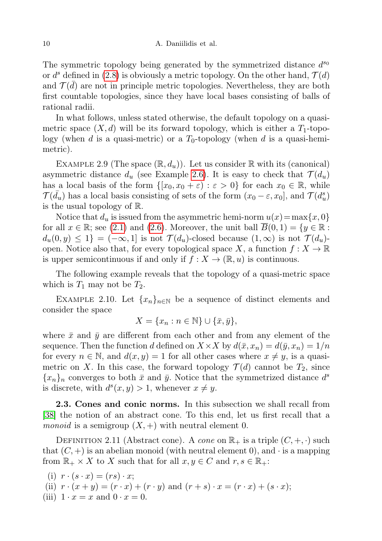The symmetric topology being generated by the symmetrized distance  $d^{s_0}$ or  $d^s$  defined in [\(2.8\)](#page-7-1) is obviously a metric topology. On the other hand,  $\mathcal{T}(d)$ and  $\mathcal{T}(\bar{d})$  are not in principle metric topologies. Nevertheless, they are both first countable topologies, since they have local bases consisting of balls of rational radii.

In what follows, unless stated otherwise, the default topology on a quasimetric space  $(X, d)$  will be its forward topology, which is either a  $T_1$ -topology (when d is a quasi-metric) or a  $T_0$ -topology (when d is a quasi-hemimetric).

EXAMPLE 2.9 (The space  $(\mathbb{R}, d_u)$ ). Let us consider  $\mathbb R$  with its (canonical) asymmetric distance  $d_u$  (see Example [2.6\)](#page-7-2). It is easy to check that  $\mathcal{T}(d_u)$ has a local basis of the form  $\{[x_0, x_0 + \varepsilon) : \varepsilon > 0\}$  for each  $x_0 \in \mathbb{R}$ , while  $\mathcal{T}(\bar{d}_u)$  has a local basis consisting of sets of the form  $(x_0 - \varepsilon, x_0]$ , and  $\mathcal{T}(d_u^s)$ is the usual topology of R.

Notice that  $d_u$  is issued from the asymmetric hemi-norm  $u(x)=\max\{x, 0\}$ for all  $x \in \mathbb{R}$ ; see [\(2.1\)](#page-3-1) and [\(2.6\)](#page-5-3). Moreover, the unit ball  $B(0,1) = \{y \in \mathbb{R} :$  $d_u(0, y) \leq 1$  =  $(-\infty, 1]$  is not  $\mathcal{T}(d_u)$ -closed because  $(1, \infty)$  is not  $\mathcal{T}(d_u)$ open. Notice also that, for every topological space X, a function  $f: X \to \mathbb{R}$ is upper semicontinuous if and only if  $f: X \to (\mathbb{R}, u)$  is continuous.

The following example reveals that the topology of a quasi-metric space which is  $T_1$  may not be  $T_2$ .

EXAMPLE 2.10. Let  ${x_n}_{n\in\mathbb{N}}$  be a sequence of distinct elements and consider the space

$$
X = \{x_n : n \in \mathbb{N}\} \cup \{\bar{x}, \bar{y}\},\
$$

where  $\bar{x}$  and  $\bar{y}$  are different from each other and from any element of the sequence. Then the function d defined on  $X \times X$  by  $d(\bar{x}, x_n) = d(\bar{y}, x_n) = 1/n$ for every  $n \in \mathbb{N}$ , and  $d(x, y) = 1$  for all other cases where  $x \neq y$ , is a quasimetric on X. In this case, the forward topology  $\mathcal{T}(d)$  cannot be  $T_2$ , since  ${x_n}_n$  converges to both  $\bar{x}$  and  $\bar{y}$ . Notice that the symmetrized distance  $d^s$ is discrete, with  $d^s(x, y) > 1$ , whenever  $x \neq y$ .

<span id="page-9-0"></span>2.3. Cones and conic norms. In this subsection we shall recall from [\[38\]](#page-47-14) the notion of an abstract cone. To this end, let us first recall that a *monoid* is a semigroup  $(X,+)$  with neutral element 0.

DEFINITION 2.11 (Abstract cone). A cone on  $\mathbb{R}_+$  is a triple  $(C, +, \cdot)$  such that  $(C, +)$  is an abelian monoid (with neutral element 0), and  $\cdot$  is a mapping from  $\mathbb{R}_+ \times X$  to X such that for all  $x, y \in C$  and  $r, s \in \mathbb{R}_+$ :

(i)  $r \cdot (s \cdot x) = (rs) \cdot x;$ (ii)  $r \cdot (x + y) = (r \cdot x) + (r \cdot y)$  and  $(r + s) \cdot x = (r \cdot x) + (s \cdot x);$ (iii)  $1 \cdot x = x$  and  $0 \cdot x = 0$ .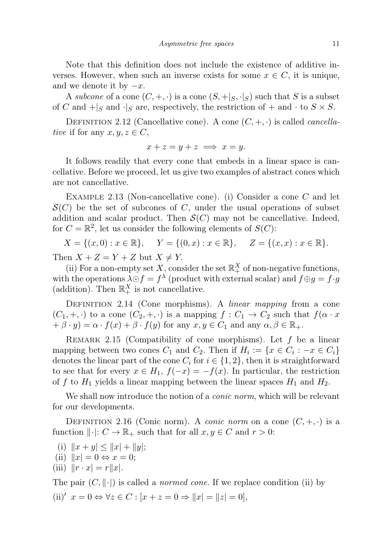Note that this definition does not include the existence of additive inverses. However, when such an inverse exists for some  $x \in C$ , it is unique, and we denote it by  $-x$ .

A subcone of a cone  $(C, +, \cdot)$  is a cone  $(S, +|_S, \cdot|_S)$  such that S is a subset of C and  $+|_S$  and  $\cdot|_S$  are, respectively, the restriction of  $+$  and  $\cdot$  to  $S \times S$ .

DEFINITION 2.12 (Cancellative cone). A cone  $(C, +, \cdot)$  is called *cancella*tive if for any  $x, y, z \in C$ ,

$$
x + z = y + z \implies x = y.
$$

It follows readily that every cone that embeds in a linear space is cancellative. Before we proceed, let us give two examples of abstract cones which are not cancellative.

EXAMPLE 2.13 (Non-cancellative cone). (i) Consider a cone  $C$  and let  $\mathcal{S}(C)$  be the set of subcones of C, under the usual operations of subset addition and scalar product. Then  $\mathcal{S}(C)$  may not be cancellative. Indeed, for  $C = \mathbb{R}^2$ , let us consider the following elements of  $S(C)$ :

$$
X = \{(x, 0) : x \in \mathbb{R}\}, \quad Y = \{(0, x) : x \in \mathbb{R}\}, \quad Z = \{(x, x) : x \in \mathbb{R}\}.
$$

Then  $X + Z = Y + Z$  but  $X \neq Y$ .

(ii) For a non-empty set  $X$ , consider the set  $\mathbb{R}^X_+$  of non-negative functions, with the operations  $\lambda \odot f = f^{\lambda}$  (product with external scalar) and  $f \oplus g = f \cdot g$ (addition). Then  $\mathbb{R}^X_+$  is not cancellative.

<span id="page-10-1"></span>DEFINITION 2.14 (Cone morphisms). A *linear mapping* from a cone  $(C_1, +, \cdot)$  to a cone  $(C_2, +, \cdot)$  is a mapping  $f : C_1 \to C_2$  such that  $f(\alpha \cdot x)$  $+\beta \cdot y = \alpha \cdot f(x) + \beta \cdot f(y)$  for any  $x, y \in C_1$  and any  $\alpha, \beta \in \mathbb{R}_+$ .

REMARK 2.15 (Compatibility of cone morphisms). Let  $f$  be a linear mapping between two cones  $C_1$  and  $C_2$ . Then if  $H_i := \{x \in C_i : -x \in C_i\}$ denotes the linear part of the cone  $C_i$  for  $i \in \{1, 2\}$ , then it is straightforward to see that for every  $x \in H_1$ ,  $f(-x) = -f(x)$ . In particular, the restriction of f to  $H_1$  yields a linear mapping between the linear spaces  $H_1$  and  $H_2$ .

We shall now introduce the notion of a *conic norm*, which will be relevant for our developments.

<span id="page-10-0"></span>DEFINITION 2.16 (Conic norm). A *conic norm* on a cone  $(C, +, \cdot)$  is a function  $\|\cdot\|: C \to \mathbb{R}_+$  such that for all  $x, y \in C$  and  $r > 0$ :

- (i)  $||x + y|| \le ||x| + ||y||;$
- (ii)  $||x| = 0 \Leftrightarrow x = 0;$
- (iii)  $\|r \cdot x\| = r\|x\|.$

The pair  $(C, \|\cdot|)$  is called a *normed cone*. If we replace condition (ii) by (ii)'  $x = 0 \Leftrightarrow \forall z \in C : [x + z = 0 \Rightarrow ||x| = ||z| = 0],$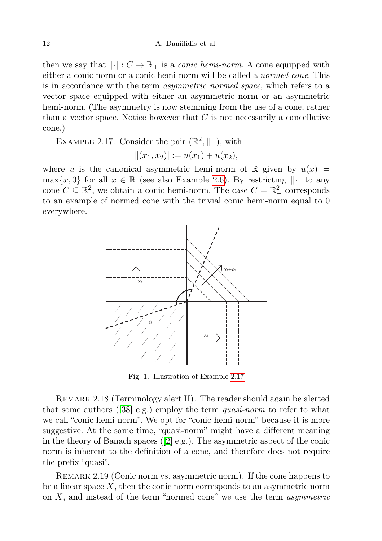then we say that  $\lVert \cdot \rVert : C \to \mathbb{R}_+$  is a *conic hemi-norm*. A cone equipped with either a conic norm or a conic hemi-norm will be called a normed cone. This is in accordance with the term asymmetric normed space, which refers to a vector space equipped with either an asymmetric norm or an asymmetric hemi-norm. (The asymmetry is now stemming from the use of a cone, rather than a vector space. Notice however that  $C$  is not necessarily a cancellative cone.)

<span id="page-11-0"></span>EXAMPLE 2.17. Consider the pair  $(\mathbb{R}^2, \|\cdot|)$ , with

$$
||(x_1, x_2)|| := u(x_1) + u(x_2),
$$

where u is the canonical asymmetric hemi-norm of R given by  $u(x) =$  $\max\{x, 0\}$  for all  $x \in \mathbb{R}$  (see also Example [2.6\)](#page-7-2). By restricting  $\|\cdot\|$  to any cone  $C \subseteq \mathbb{R}^2$ , we obtain a conic hemi-norm. The case  $C = \mathbb{R}^2$  corresponds to an example of normed cone with the trivial conic hemi-norm equal to 0 everywhere.



Fig. 1. Illustration of Example [2.17](#page-11-0)

REMARK 2.18 (Terminology alert II). The reader should again be alerted that some authors ([\[38\]](#page-47-14) e.g.) employ the term quasi-norm to refer to what we call "conic hemi-norm". We opt for "conic hemi-norm" because it is more suggestive. At the same time, "quasi-norm" might have a different meaning in the theory of Banach spaces ([\[2\]](#page-46-2) e.g.). The asymmetric aspect of the conic norm is inherent to the definition of a cone, and therefore does not require the prefix "quasi".

REMARK 2.19 (Conic norm vs. asymmetric norm). If the cone happens to be a linear space  $X$ , then the conic norm corresponds to an asymmetric norm on  $X$ , and instead of the term "normed cone" we use the term *asymmetric*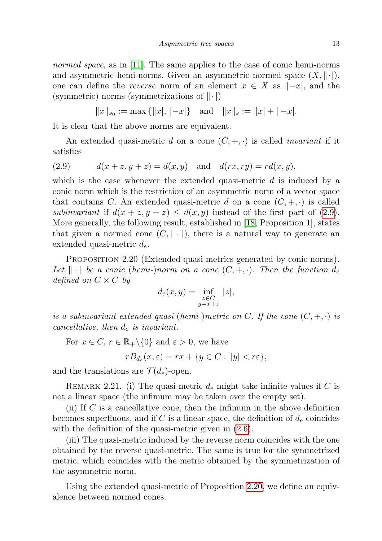normed space, as in [\[11\]](#page-46-14). The same applies to the case of conic hemi-norms and asymmetric hemi-norms. Given an asymmetric normed space  $(X, \|\cdot\|)$ , one can define the *reverse* norm of an element  $x \in X$  as  $\Vert -x \Vert$ , and the (symmetric) norms (symmetrizations of  $\|\cdot\|$ )

 $||x||_{s_0} := \max \{||x|, ||-x|\}$  and  $||x||_s := ||x| + ||-x|.$ 

It is clear that the above norms are equivalent.

<span id="page-12-0"></span>An extended quasi-metric d on a cone  $(C, +, \cdot)$  is called *invariant* if it satisfies

(2.9) 
$$
d(x + z, y + z) = d(x, y) \text{ and } d(rx, ry) = rd(x, y),
$$

which is the case whenever the extended quasi-metric  $d$  is induced by a conic norm which is the restriction of an asymmetric norm of a vector space that contains C. An extended quasi-metric d on a cone  $(C, +, \cdot)$  is called subinvariant if  $d(x + z, y + z) \leq d(x, y)$  instead of the first part of [\(2.9\)](#page-12-0). More generally, the following result, established in [\[18,](#page-46-15) Proposition 1], states that given a normed cone  $(C, \|\cdot\|)$ , there is a natural way to generate an extended quasi-metric  $d_e$ .

<span id="page-12-1"></span>PROPOSITION 2.20 (Extended quasi-metrics generated by conic norms). Let  $\|\cdot\|$  be a conic (hemi-)norm on a cone  $(C, +, \cdot)$ . Then the function  $d_e$ defined on  $C \times C$  by

$$
d_e(x, y) = \inf_{\substack{z \in C \\ y = x + z}} ||z||,
$$

is a subinvariant extended quasi (hemi-)metric on C. If the cone  $(C, +, \cdot)$  is cancellative, then  $d_e$  is invariant.

For  $x \in C$ ,  $r \in \mathbb{R}_+ \setminus \{0\}$  and  $\varepsilon > 0$ , we have

$$
rB_{d_e}(x,\varepsilon) = rx + \{y \in C : ||y| < r\varepsilon\},\
$$

and the translations are  $\mathcal{T}(d_e)$ -open.

<span id="page-12-2"></span>REMARK 2.21. (i) The quasi-metric  $d_e$  might take infinite values if C is not a linear space (the infimum may be taken over the empty set).

(ii) If  $C$  is a cancellative cone, then the infimum in the above definition becomes superfluous, and if C is a linear space, the definition of  $d_e$  coincides with the definition of the quasi-metric given in  $(2.6)$ .

(iii) The quasi-metric induced by the reverse norm coincides with the one obtained by the reverse quasi-metric. The same is true for the symmetrized metric, which coincides with the metric obtained by the symmetrization of the asymmetric norm.

Using the extended quasi-metric of Proposition [2.20,](#page-12-1) we define an equivalence between normed cones.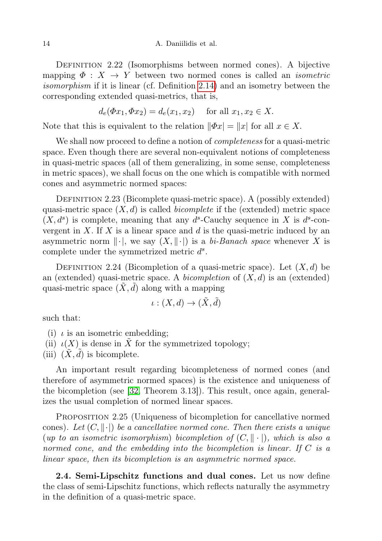DEFINITION 2.22 (Isomorphisms between normed cones). A bijective mapping  $\Phi: X \to Y$  between two normed cones is called an *isometric* isomorphism if it is linear (cf. Definition [2.14\)](#page-10-1) and an isometry between the corresponding extended quasi-metrics, that is,

$$
d_e(\Phi x_1, \Phi x_2) = d_e(x_1, x_2)
$$
 for all  $x_1, x_2 \in X$ .

Note that this is equivalent to the relation  $\|\Phi x\| = \|x\|$  for all  $x \in X$ .

We shall now proceed to define a notion of *completeness* for a quasi-metric space. Even though there are several non-equivalent notions of completeness in quasi-metric spaces (all of them generalizing, in some sense, completeness in metric spaces), we shall focus on the one which is compatible with normed cones and asymmetric normed spaces:

DEFINITION 2.23 (Bicomplete quasi-metric space). A (possibly extended) quasi-metric space  $(X, d)$  is called *bicomplete* if the (extended) metric space  $(X, d<sup>s</sup>)$  is complete, meaning that any  $d<sup>s</sup>$ -Cauchy sequence in X is  $d<sup>s</sup>$ -convergent in X. If X is a linear space and  $d$  is the quasi-metric induced by an asymmetric norm  $\|\cdot\|$ , we say  $(X, \|\cdot\|)$  is a bi-Banach space whenever X is complete under the symmetrized metric  $d^s$ .

DEFINITION 2.24 (Bicompletion of a quasi-metric space). Let  $(X, d)$  be an (extended) quasi-metric space. A *bicompletion* of  $(X, d)$  is an (extended) quasi-metric space  $(X, d)$  along with a mapping

$$
\iota:(X,d)\to(\tilde{X},\tilde{d})
$$

such that:

- (i)  $\iota$  is an isometric embedding;
- (ii)  $\iota(X)$  is dense in X for the symmetrized topology;
- (iii)  $(X, d)$  is bicomplete.

An important result regarding bicompleteness of normed cones (and therefore of asymmetric normed spaces) is the existence and uniqueness of the bicompletion (see [\[32,](#page-47-15) Theorem 3.13]). This result, once again, generalizes the usual completion of normed linear spaces.

PROPOSITION 2.25 (Uniqueness of bicompletion for cancellative normed cones). Let  $(C, \|\cdot\|)$  be a cancellative normed cone. Then there exists a unique (up to an isometric isomorphism) bicompletion of  $(C, \|\cdot\|)$ , which is also a normed cone, and the embedding into the bicompletion is linear. If  $C$  is a linear space, then its bicompletion is an asymmetric normed space.

<span id="page-13-0"></span>2.4. Semi-Lipschitz functions and dual cones. Let us now define the class of semi-Lipschitz functions, which reflects naturally the asymmetry in the definition of a quasi-metric space.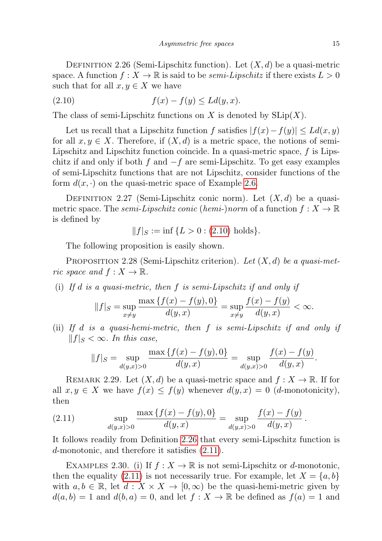<span id="page-14-0"></span>DEFINITION 2.26 (Semi-Lipschitz function). Let  $(X, d)$  be a quasi-metric space. A function  $f: X \to \mathbb{R}$  is said to be *semi-Lipschitz* if there exists  $L > 0$ such that for all  $x, y \in X$  we have

<span id="page-14-1"></span>
$$
(2.10) \t\t f(x) - f(y) \le Ld(y, x).
$$

The class of semi-Lipschitz functions on X is denoted by  $SLip(X)$ .

Let us recall that a Lipschitz function f satisfies  $|f(x)-f(y)| \leq L d(x,y)$ for all  $x, y \in X$ . Therefore, if  $(X, d)$  is a metric space, the notions of semi-Lipschitz and Lipschitz function coincide. In a quasi-metric space,  $f$  is Lipschitz if and only if both f and  $-f$  are semi-Lipschitz. To get easy examples of semi-Lipschitz functions that are not Lipschitz, consider functions of the form  $d(x, \cdot)$  on the quasi-metric space of Example [2.6.](#page-7-2)

<span id="page-14-4"></span>DEFINITION 2.27 (Semi-Lipschitz conic norm). Let  $(X, d)$  be a quasimetric space. The *semi-Lipschitz conic* (*hemi-*)norm of a function  $f: X \to \mathbb{R}$ is defined by

$$
||f||_{S} := \inf \{ L > 0 : (2.10) \text{ holds} \}.
$$

The following proposition is easily shown.

<span id="page-14-3"></span>PROPOSITION 2.28 (Semi-Lipschitz criterion). Let  $(X, d)$  be a quasi-metric space and  $f: X \to \mathbb{R}$ .

(i) If  $d$  is a quasi-metric, then  $f$  is semi-Lipschitz if and only if

$$
||f||_{S} = \sup_{x \neq y} \frac{\max\{f(x) - f(y), 0\}}{d(y, x)} = \sup_{x \neq y} \frac{f(x) - f(y)}{d(y, x)} < \infty.
$$

(ii) If d is a quasi-hemi-metric, then f is semi-Lipschitz if and only if  $||f||_S < \infty$ . In this case,

$$
||f||_{S} = \sup_{d(y,x)>0} \frac{\max\{f(x) - f(y), 0\}}{d(y,x)} = \sup_{d(y,x)>0} \frac{f(x) - f(y)}{d(y,x)}.
$$

REMARK 2.29. Let  $(X, d)$  be a quasi-metric space and  $f: X \to \mathbb{R}$ . If for all  $x, y \in X$  we have  $f(x) \leq f(y)$  whenever  $d(y, x) = 0$  (*d*-monotonicity), then

<span id="page-14-2"></span>(2.11) 
$$
\sup_{d(y,x)>0} \frac{\max\{f(x) - f(y), 0\}}{d(y,x)} = \sup_{d(y,x)>0} \frac{f(x) - f(y)}{d(y,x)}
$$

It follows readily from Definition [2.26](#page-14-0) that every semi-Lipschitz function is d-monotonic, and therefore it satisfies [\(2.11\)](#page-14-2).

EXAMPLES 2.30. (i) If  $f: X \to \mathbb{R}$  is not semi-Lipschitz or d-monotonic, then the equality [\(2.11\)](#page-14-2) is not necessarily true. For example, let  $X = \{a, b\}$ with  $a, b \in \mathbb{R}$ , let  $d: X \times X \to [0, \infty)$  be the quasi-hemi-metric given by  $d(a, b) = 1$  and  $d(b, a) = 0$ , and let  $f: X \to \mathbb{R}$  be defined as  $f(a) = 1$  and

.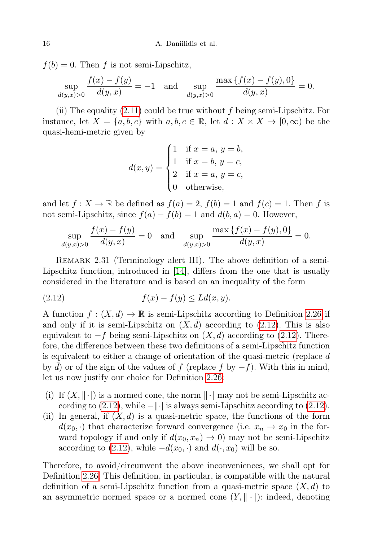$f(b) = 0$ . Then f is not semi-Lipschitz,

$$
\sup_{d(y,x)>0} \frac{f(x) - f(y)}{d(y,x)} = -1 \quad \text{and} \quad \sup_{d(y,x)>0} \frac{\max\{f(x) - f(y), 0\}}{d(y,x)} = 0.
$$

(ii) The equality  $(2.11)$  could be true without f being semi-Lipschitz. For instance, let  $X = \{a, b, c\}$  with  $a, b, c \in \mathbb{R}$ , let  $d: X \times X \to [0, \infty)$  be the quasi-hemi-metric given by

<span id="page-15-0"></span>
$$
d(x,y) = \begin{cases} 1 & \text{if } x = a, y = b, \\ 1 & \text{if } x = b, y = c, \\ 2 & \text{if } x = a, y = c, \\ 0 & \text{otherwise,} \end{cases}
$$

and let  $f: X \to \mathbb{R}$  be defined as  $f(a) = 2$ ,  $f(b) = 1$  and  $f(c) = 1$ . Then f is not semi-Lipschitz, since  $f(a) - f(b) = 1$  and  $d(b, a) = 0$ . However,

$$
\sup_{d(y,x)>0} \frac{f(x) - f(y)}{d(y,x)} = 0 \quad \text{and} \quad \sup_{d(y,x)>0} \frac{\max\{f(x) - f(y), 0\}}{d(y,x)} = 0.
$$

<span id="page-15-1"></span>REMARK 2.31 (Terminology alert III). The above definition of a semi-Lipschitz function, introduced in [\[14\]](#page-46-9), differs from the one that is usually considered in the literature and is based on an inequality of the form

$$
(2.12) \t\t f(x) - f(y) \le Ld(x, y).
$$

A function  $f: (X, d) \to \mathbb{R}$  is semi-Lipschitz according to Definition [2.26](#page-14-0) if and only if it is semi-Lipschitz on  $(X, d)$  according to  $(2.12)$ . This is also equivalent to  $-f$  being semi-Lipschitz on  $(X, d)$  according to [\(2.12\)](#page-15-0). Therefore, the difference between these two definitions of a semi-Lipschitz function is equivalent to either a change of orientation of the quasi-metric (replace d by d) or of the sign of the values of f (replace f by  $-f$ ). With this in mind, let us now justify our choice for Definition [2.26:](#page-14-0)

- (i) If  $(X, \|\cdot)$  is a normed cone, the norm  $\|\cdot\|$  may not be semi-Lipschitz according to  $(2.12)$ , while  $-\Vert \cdot \Vert$  is always semi-Lipschitz according to  $(2.12)$ .
- (ii) In general, if  $(X, d)$  is a quasi-metric space, the functions of the form  $d(x_0, \cdot)$  that characterize forward convergence (i.e.  $x_n \to x_0$  in the forward topology if and only if  $d(x_0, x_n) \to 0$  may not be semi-Lipschitz according to [\(2.12\)](#page-15-0), while  $-d(x_0, \cdot)$  and  $d(\cdot, x_0)$  will be so.

Therefore, to avoid/circumvent the above inconveniences, we shall opt for Definition [2.26.](#page-14-0) This definition, in particular, is compatible with the natural definition of a semi-Lipschitz function from a quasi-metric space  $(X, d)$  to an asymmetric normed space or a normed cone  $(Y, \|\cdot\|)$ : indeed, denoting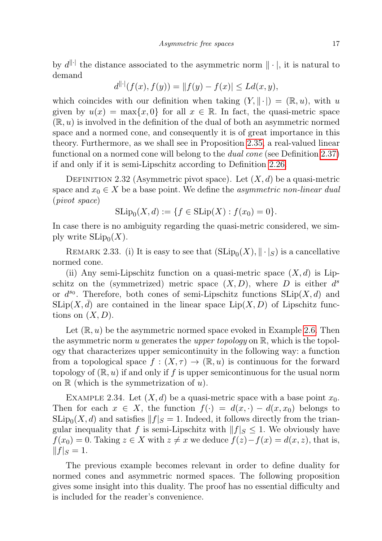by  $d^{\|\cdot\|}$  the distance associated to the asymmetric norm  $\|\cdot\|$ , it is natural to demand

$$
d^{\|\cdot\|}(f(x), f(y)) = \|f(y) - f(x)\| \le Ld(x, y),
$$

which coincides with our definition when taking  $(Y, \|\cdot) = (\mathbb{R}, u)$ , with u given by  $u(x) = \max\{x, 0\}$  for all  $x \in \mathbb{R}$ . In fact, the quasi-metric space  $(\mathbb{R}, u)$  is involved in the definition of the dual of both an asymmetric normed space and a normed cone, and consequently it is of great importance in this theory. Furthermore, as we shall see in Proposition [2.35,](#page-17-0) a real-valued linear functional on a normed cone will belong to the dual cone (see Definition [2.37\)](#page-17-1) if and only if it is semi-Lipschitz according to Definition [2.26.](#page-14-0)

<span id="page-16-2"></span>DEFINITION 2.32 (Asymmetric pivot space). Let  $(X, d)$  be a quasi-metric space and  $x_0 \in X$  be a base point. We define the *asymmetric non-linear dual* (pivot space)

$$
SLip_0(X, d) := \{ f \in SLip(X) : f(x_0) = 0 \}.
$$

In case there is no ambiguity regarding the quasi-metric considered, we simply write  $\text{SLip}_0(X)$ .

<span id="page-16-0"></span>REMARK 2.33. (i) It is easy to see that  $(SLip_0(X), \|\cdot\|_S)$  is a cancellative normed cone.

(ii) Any semi-Lipschitz function on a quasi-metric space  $(X, d)$  is Lipschitz on the (symmetrized) metric space  $(X, D)$ , where D is either  $d^s$ or  $d^{s_0}$ . Therefore, both cones of semi-Lipschitz functions  $\text{SLip}(X, d)$  and  $\text{SLip}(X, d)$  are contained in the linear space  $\text{Lip}(X, D)$  of Lipschitz functions on  $(X, D)$ .

Let  $(\mathbb{R}, u)$  be the asymmetric normed space evoked in Example [2.6.](#page-7-2) Then the asymmetric norm u generates the upper topology on  $\mathbb{R}$ , which is the topology that characterizes upper semicontinuity in the following way: a function from a topological space  $f : (X, \tau) \to (\mathbb{R}, u)$  is continuous for the forward topology of  $(\mathbb{R}, u)$  if and only if f is upper semicontinuous for the usual norm on  $\mathbb R$  (which is the symmetrization of  $u$ ).

<span id="page-16-1"></span>EXAMPLE 2.34. Let  $(X, d)$  be a quasi-metric space with a base point  $x_0$ . Then for each  $x \in X$ , the function  $f(\cdot) = d(x, \cdot) - d(x, x_0)$  belongs to  $\text{SLip}_0(X, d)$  and satisfies  $||f|| = 1$ . Indeed, it follows directly from the triangular inequality that f is semi-Lipschitz with  $||f||_S \leq 1$ . We obviously have  $f(x_0) = 0$ . Taking  $z \in X$  with  $z \neq x$  we deduce  $f(z) - f(x) = d(x, z)$ , that is,  $||f|_S = 1.$ 

The previous example becomes relevant in order to define duality for normed cones and asymmetric normed spaces. The following proposition gives some insight into this duality. The proof has no essential difficulty and is included for the reader's convenience.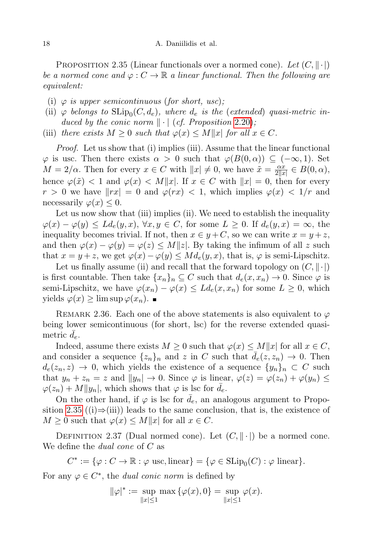<span id="page-17-0"></span>PROPOSITION 2.35 (Linear functionals over a normed cone). Let  $(C, \|\cdot\|)$ be a normed cone and  $\varphi: C \to \mathbb{R}$  a linear functional. Then the following are equivalent:

- (i)  $\varphi$  is upper semicontinuous (for short, usc);
- (ii)  $\varphi$  belongs to  $\text{SLip}_0(C, d_e)$ , where  $d_e$  is the (extended) quasi-metric induced by the conic norm  $\|\cdot\|$  (cf. Proposition 2.[20\)](#page-12-1);
- (iii) there exists  $M \geq 0$  such that  $\varphi(x) \leq M||x|$  for all  $x \in C$ .

Proof. Let us show that (i) implies (iii). Assume that the linear functional  $\varphi$  is usc. Then there exists  $\alpha > 0$  such that  $\varphi(B(0,\alpha)) \subseteq (-\infty,1)$ . Set  $M = 2/\alpha$ . Then for every  $x \in C$  with  $||x|| \neq 0$ , we have  $\tilde{x} = \frac{\alpha x}{2||x|}$  $\frac{\alpha x}{2||x|} \in B(0, \alpha),$ hence  $\varphi(\tilde{x}) < 1$  and  $\varphi(x) < M||x|$ . If  $x \in C$  with  $||x|| = 0$ , then for every  $r > 0$  we have  $\|rx| = 0$  and  $\varphi(rx) < 1$ , which implies  $\varphi(x) < 1/r$  and necessarily  $\varphi(x) \leq 0$ .

Let us now show that (iii) implies (ii). We need to establish the inequality  $\varphi(x) - \varphi(y) \leq L d_e(y, x), \ \forall x, y \in C$ , for some  $L \geq 0$ . If  $d_e(y, x) = \infty$ , the inequality becomes trivial. If not, then  $x \in y + C$ , so we can write  $x = y + z$ , and then  $\varphi(x) - \varphi(y) = \varphi(z) \le M||z|$ . By taking the infimum of all z such that  $x = y + z$ , we get  $\varphi(x) - \varphi(y) \leq M d_e(y, x)$ , that is,  $\varphi$  is semi-Lipschitz.

Let us finally assume (ii) and recall that the forward topology on  $(C, \|\cdot\|)$ is first countable. Then take  $\{x_n\}_n \subseteq C$  such that  $d_e(x, x_n) \to 0$ . Since  $\varphi$  is semi-Lipschitz, we have  $\varphi(x_n) - \varphi(x) \leq L d_e(x, x_n)$  for some  $L \geq 0$ , which yields  $\varphi(x)$  ≥ lim sup  $\varphi(x_n)$ .  $\blacksquare$ 

<span id="page-17-2"></span>REMARK 2.36. Each one of the above statements is also equivalent to  $\varphi$ being lower semicontinuous (for short, lsc) for the reverse extended quasimetric  $d_e$ .

Indeed, assume there exists  $M \geq 0$  such that  $\varphi(x) \leq M||x|$  for all  $x \in C$ , and consider a sequence  $\{z_n\}_n$  and z in C such that  $d_e(z, z_n) \to 0$ . Then  $d_e(z_n, z) \to 0$ , which yields the existence of a sequence  $\{y_n\}_n \subset C$  such that  $y_n + z_n = z$  and  $||y_n|| \to 0$ . Since  $\varphi$  is linear,  $\varphi(z) = \varphi(z_n) + \varphi(y_n) \leq$  $\varphi(z_n) + M||y_n|$ , which shows that  $\varphi$  is lsc for  $d_e$ .

On the other hand, if  $\varphi$  is lsc for  $d_e$ , an analogous argument to Propo-sition [2.35](#page-17-0) ((i)⇒(iii)) leads to the same conclusion, that is, the existence of  $M \geq 0$  such that  $\varphi(x) \leq M||x|$  for all  $x \in C$ .

<span id="page-17-1"></span>DEFINITION 2.37 (Dual normed cone). Let  $(C, \|\cdot|)$  be a normed cone. We define the *dual cone* of C as

$$
C^* := \{ \varphi : C \to \mathbb{R} : \varphi \text{ usc, linear} \} = \{ \varphi \in \text{SLip}_0(C) : \varphi \text{ linear} \}.
$$

For any  $\varphi \in C^*$ , the *dual conic norm* is defined by

$$
\|\varphi\|^* := \sup_{\|x\| \le 1} \max \{\varphi(x), 0\} = \sup_{\|x\| \le 1} \varphi(x).
$$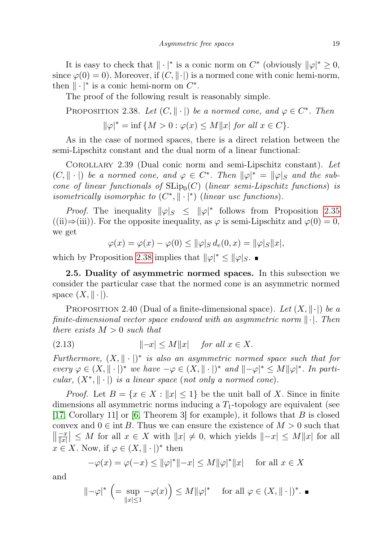It is easy to check that  $\|\cdot|^*$  is a conic norm on  $C^*$  (obviously  $\|\varphi\|^* \geq 0$ , since  $\varphi(0) = 0$ . Moreover, if  $(C, \|\cdot\|)$  is a normed cone with conic hemi-norm, then  $\|\cdot|^*$  is a conic hemi-norm on  $C^*$ .

The proof of the following result is reasonably simple.

<span id="page-18-1"></span>PROPOSITION 2.38. Let  $(C, \|\cdot\|)$  be a normed cone, and  $\varphi \in C^*$ . Then

$$
\|\varphi\|^* = \inf \{ M > 0 : \varphi(x) \le M \|x\| \text{ for all } x \in C \}.
$$

As in the case of normed spaces, there is a direct relation between the semi-Lipschitz constant and the dual norm of a linear functional:

COROLLARY 2.39 (Dual conic norm and semi-Lipschitz constant). Let  $(C, \|\cdot\|)$  be a normed cone, and  $\varphi \in C^*$ . Then  $\|\varphi\|^* = \|\varphi\|$  and the subcone of linear functionals of  $\text{SLip}_0(C)$  (linear semi-Lipschitz functions) is isometrically isomorphic to  $(C^*, \| \cdot |^*)$  (linear usc functions).

*Proof.* The inequality  $\|\varphi\|_{S} \leq \|\varphi\|^*$  follows from Proposition [2.35](#page-17-0)  $((ii) \Rightarrow (iii))$ . For the opposite inequality, as  $\varphi$  is semi-Lipschitz and  $\varphi(0) = 0$ , we get

<span id="page-18-2"></span> $\varphi(x) = \varphi(x) - \varphi(0) \leq \|\varphi\|_{S} d_e(0, x) = \|\varphi\|_{S} \|x\|,$ 

which by Proposition [2.38](#page-18-1) implies that  $\|\varphi\|^* \leq \|\varphi\|_S$ .

<span id="page-18-0"></span>2.5. Duality of asymmetric normed spaces. In this subsection we consider the particular case that the normed cone is an asymmetric normed space  $(X, \|\cdot|)$ .

PROPOSITION 2.40 (Dual of a finite-dimensional space). Let  $(X, \|\cdot\|)$  be a finite-dimensional vector space endowed with an asymmetric norm  $\|\cdot\|$ . Then there exists  $M > 0$  such that

$$
(2.13) \t\t\t  $||-x| \le M||x|$  for all  $x \in X$ .
$$

Furthermore,  $(X, \|\cdot\|)^*$  is also an asymmetric normed space such that for every  $\varphi \in (X, \|\cdot\|)^*$  we have  $-\varphi \in (X, \|\cdot\|)^*$  and  $\|\cdot\varphi\|^* \leq M \|\varphi\|^*$ . In particular,  $(X^*, \| \cdot |)$  is a linear space (not only a normed cone).

*Proof.* Let  $B = \{x \in X : ||x| \leq 1\}$  be the unit ball of X. Since in finite dimensions all asymmetric norms inducing a  $T_1$ -topology are equivalent (see [\[17,](#page-46-16) Corollary 11] or [\[6,](#page-46-17) Theorem 3] for example), it follows that B is closed convex and  $0 \in \text{int } B$ . Thus we can ensure the existence of  $M > 0$  such that  $\left|\frac{-x}{\|x\|}\right| \leq M$  for all  $x \in X$  with  $\|x\| \neq 0$ , which yields  $\|-x| \leq M\|x\|$  for all  $x \in X$ . Now, if  $\varphi \in (X, \|\cdot|)^*$  then

$$
-\varphi(x) = \varphi(-x) \le ||\varphi|^*|| - x| \le M ||\varphi|^* ||x| \quad \text{ for all } x \in X
$$

and

$$
\|\neg\varphi|^*\ \left(=\sup_{\|x\|\leq 1}\neg\varphi(x)\right)\leq M\|\varphi|^*\quad\text{ for all }\varphi\in(X,\|\cdot\|)^*.\ \blacksquare
$$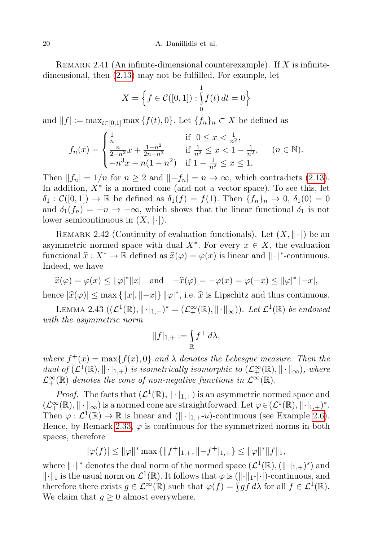20 A. Daniilidis et al.

REMARK 2.41 (An infinite-dimensional counterexample). If  $X$  is infinitedimensional, then [\(2.13\)](#page-18-2) may not be fulfilled. For example, let

$$
X = \left\{ f \in \mathcal{C}([0,1]) : \int_{0}^{1} f(t) dt = 0 \right\}
$$

and  $||f| := \max_{t \in [0,1]} \max \{f(t), 0\}$ . Let  $\{f_n\}_n \subset X$  be defined as

$$
f_n(x) = \begin{cases} \frac{1}{n} & \text{if } 0 \le x < \frac{1}{n^2}, \\ \frac{n}{2-n^2}x + \frac{1-n^2}{2n-n^3} & \text{if } \frac{1}{n^2} \le x < 1 - \frac{1}{n^2}, \\ -n^3x - n(1-n^2) & \text{if } 1 - \frac{1}{n^2} \le x \le 1, \end{cases} \quad (n \in \mathbb{N}).
$$

Then  $||f_n| = 1/n$  for  $n \geq 2$  and  $||-f_n|| = n \to \infty$ , which contradicts [\(2.13\)](#page-18-2). In addition,  $X^*$  is a normed cone (and not a vector space). To see this, let  $\delta_1 : \mathcal{C}([0,1]) \to \mathbb{R}$  be defined as  $\delta_1(f) = f(1)$ . Then  $\{f_n\}_n \to 0$ ,  $\delta_1(0) = 0$ and  $\delta_1(f_n) = -n \to -\infty$ , which shows that the linear functional  $\delta_1$  is not lower semicontinuous in  $(X, \|\cdot|)$ .

<span id="page-19-0"></span>REMARK 2.42 (Continuity of evaluation functionals). Let  $(X, \|\cdot\|)$  be an asymmetric normed space with dual  $X^*$ . For every  $x \in X$ , the evaluation functional  $\hat{x} : X^* \to \mathbb{R}$  defined as  $\hat{x}(\varphi) = \varphi(x)$  is linear and  $\|\cdot\|^*$ -continuous. Indeed, we have

 $\hat{x}(\varphi) = \varphi(x) \le ||\varphi|^*||x| \text{ and } -\hat{x}(\varphi) = -\varphi(x) = \varphi(-x) \le ||\varphi|^*||-x|,$ hence  $|\hat{x}(\varphi)| \le \max\{|x|, ||-x|\} ||\varphi|^*$ , i.e.  $\hat{x}$  is Lipschitz and thus continuous.

<span id="page-19-1"></span>LEMMA 2.43  $((\mathcal{L}^1(\mathbb{R}), \|\cdot\|_{1,+})^* = (\mathcal{L}^{\infty}_+(\mathbb{R}), \|\cdot\|_{\infty}))$ . Let  $\mathcal{L}^1(\mathbb{R})$  be endowed with the asymmetric norm

$$
||f|_{1,+}:=\int\limits_{\mathbb R}f^+\,d\lambda,
$$

where  $f^+(x) = \max\{f(x), 0\}$  and  $\lambda$  denotes the Lebesgue measure. Then the dual of  $(\mathcal{L}^1(\mathbb{R}), \|\cdot\|_{1,+})$  is isometrically isomorphic to  $(\mathcal{L}^{\infty}_+(\mathbb{R}), \|\cdot\|_{\infty})$ , where  $\mathcal{L}^{\infty}_+(\mathbb{R})$  denotes the cone of non-negative functions in  $\mathcal{L}^{\infty}(\mathbb{R})$ .

*Proof.* The facts that  $(\mathcal{L}^1(\mathbb{R}), \|\cdot\|_{1,+})$  is an asymmetric normed space and  $(\mathcal{L}_+^{\infty}(\mathbb{R}), \|\cdot\|_{\infty})$  is a normed cone are straightforward. Let  $\varphi \in (\mathcal{L}^1(\mathbb{R}), \|\cdot|_{1,+})^*$ . Then  $\varphi : \mathcal{L}^1(\mathbb{R}) \to \mathbb{R}$  is linear and  $(\|\cdot\|_{1,+}u)$ -continuous (see Example [2.6\)](#page-7-2). Hence, by Remark [2.33,](#page-16-0)  $\varphi$  is continuous for the symmetrized norms in both spaces, therefore

$$
|\varphi(f)|\leq \|\varphi\|^*\max\left\{\|f^+|_{1,+},\|-f^+|_{1,+}\right\}\leq \|\varphi\|^*\|f\|_1,
$$

where  $\lVert \cdot \rVert^*$  denotes the dual norm of the normed space  $(\mathcal{L}^1(\mathbb{R}), (\lVert \cdot \rVert_{1,+})^s)$  and  $\|\cdot\|_1$  is the usual norm on  $\mathcal{L}^1(\mathbb{R})$ . It follows that  $\varphi$  is  $(\|\cdot\|_1\cdot|\cdot)$ -continuous, and therefore there exists  $g \in \mathcal{L}^{\infty}(\mathbb{R})$  such that  $\varphi(f) = \int g f d\lambda$  for all  $f \in \mathcal{L}^{1}(\mathbb{R})$ . We claim that  $g \geq 0$  almost everywhere.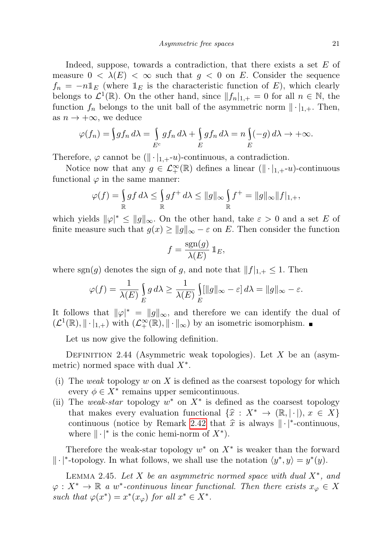Indeed, suppose, towards a contradiction, that there exists a set  $E$  of measure  $0 < \lambda(E) < \infty$  such that  $g < 0$  on E. Consider the sequence  $f_n = -n \mathbb{1}_E$  (where  $\mathbb{1}_E$  is the characteristic function of E), which clearly belongs to  $\mathcal{L}^1(\mathbb{R})$ . On the other hand, since  $||f_n||_{1,+} = 0$  for all  $n \in \mathbb{N}$ , the function  $f_n$  belongs to the unit ball of the asymmetric norm  $\|\cdot\|_{1,+}$ . Then, as  $n \to +\infty$ , we deduce

$$
\varphi(f_n) = \int g f_n \, d\lambda = \int_{E^c} g f_n \, d\lambda + \int_E g f_n \, d\lambda = n \int_E (-g) \, d\lambda \to +\infty.
$$

Therefore,  $\varphi$  cannot be  $(\|\cdot\|_{1,+}u)$ -continuous, a contradiction.

Notice now that any  $g \in \mathcal{L}^{\infty}_+(\mathbb{R})$  defines a linear  $(\|\cdot\|_{1,+}-u)$ -continuous functional  $\varphi$  in the same manner:

$$
\varphi(f) = \int_{\mathbb{R}} g f \, d\lambda \le \int_{\mathbb{R}} g f^+ \, d\lambda \le \|g\|_{\infty} \int_{\mathbb{R}} f^+ = \|g\|_{\infty} \|f\|_{1,+},
$$

which yields  $\|\varphi\|^* \le \|g\|_{\infty}$ . On the other hand, take  $\varepsilon > 0$  and a set E of finite measure such that  $g(x) \ge ||g||_{\infty} - \varepsilon$  on E. Then consider the function

$$
f = \frac{\text{sgn}(g)}{\lambda(E)} \mathbb{1}_E,
$$

where sgn(g) denotes the sign of g, and note that  $||f||_{1,+} \leq 1$ . Then

$$
\varphi(f) = \frac{1}{\lambda(E)} \int_{E} g \, d\lambda \ge \frac{1}{\lambda(E)} \int_{E} [\|g\|_{\infty} - \varepsilon] \, d\lambda = \|g\|_{\infty} - \varepsilon.
$$

It follows that  $\|\varphi\|^* = \|g\|_{\infty}$ , and therefore we can identify the dual of  $(\mathcal{L}^1(\mathbb{R}), \|\cdot\|_{1,+})$  with  $(\mathcal{L}^{\infty}_+(\mathbb{R}), \|\cdot\|_{\infty})$  by an isometric isomorphism.

Let us now give the following definition.

DEFINITION 2.44 (Asymmetric weak topologies). Let X be an (asymmetric) normed space with dual  $X^*$ .

- (i) The weak topology w on X is defined as the coarsest topology for which every  $\phi \in X^*$  remains upper semicontinuous.
- (ii) The weak-star topology  $w^*$  on  $X^*$  is defined as the coarsest topology that makes every evaluation functional  $\{\hat{x} : X^* \to (\mathbb{R}, |\cdot|), x \in X\}$ continuous (notice by Remark [2.42](#page-19-0) that  $\hat{x}$  is always  $\|\cdot\|^*$ -continuous, where  $\|\cdot|^*$  is the conic hemi-norm of  $X^*$ ).

Therefore the weak-star topology  $w^*$  on  $X^*$  is weaker than the forward  $\|\cdot|^*$ -topology. In what follows, we shall use the notation  $\langle y^*, y \rangle = y^*(y)$ .

<span id="page-20-0"></span>LEMMA 2.45. Let X be an asymmetric normed space with dual  $X^*$ , and  $\varphi: X^* \to \mathbb{R}$  a w<sup>\*</sup>-continuous linear functional. Then there exists  $x_{\varphi} \in X$ such that  $\varphi(x^*) = x^*(x_{\varphi})$  for all  $x^* \in X^*$ .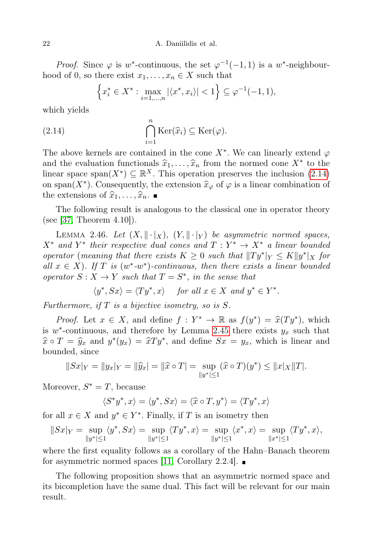22 A. Daniilidis et al.

*Proof.* Since  $\varphi$  is w<sup>\*</sup>-continuous, the set  $\varphi^{-1}(-1,1)$  is a w<sup>\*</sup>-neighbourhood of 0, so there exist  $x_1, \ldots, x_n \in X$  such that

<span id="page-21-0"></span>
$$
\left\{ x_i^* \in X^* : \max_{i=1,\dots,n} |\langle x^*, x_i \rangle| < 1 \right\} \subseteq \varphi^{-1}(-1,1),
$$

which yields

(2.14) 
$$
\bigcap_{i=1}^{n} \text{Ker}(\widehat{x}_{i}) \subseteq \text{Ker}(\varphi).
$$

The above kernels are contained in the cone  $X^*$ . We can linearly extend  $\varphi$ and the evaluation functionals  $\hat{x}_1, \ldots, \hat{x}_n$  from the normed cone  $X^*$  to the linear space span( $X^*$ )  $\subset \mathbb{R}^X$ . This operation presentes the inclusion (2.14) linear space span $(X^*) \subseteq \mathbb{R}^X$ . This operation preserves the inclusion  $(2.14)$ on span(X<sup>\*</sup>). Consequently, the extension  $\hat{x}_{\varphi}$  of  $\varphi$  is a linear combination of the extensions of  $\widehat{x}_1, \ldots, \widehat{x}_n$ .

The following result is analogous to the classical one in operator theory (see [\[37,](#page-47-16) Theorem 4.10]).

<span id="page-21-1"></span>LEMMA 2.46. Let  $(X, \|\cdot\|_X)$ ,  $(Y, \|\cdot\|_Y)$  be asymmetric normed spaces,  $X^*$  and  $Y^*$  their respective dual cones and  $T: Y^* \to X^*$  a linear bounded operator (meaning that there exists  $K \geq 0$  such that  $||Ty^*||_Y \leq K||y^*||_X$  for all  $x \in X$ ). If T is  $(w^* - w^*)$ -continuous, then there exists a linear bounded operator  $S: X \to Y$  such that  $T = S^*$ , in the sense that

$$
\langle y^*, Sx \rangle = \langle Ty^*, x \rangle \quad \text{ for all } x \in X \text{ and } y^* \in Y^*.
$$

Furthermore, if  $T$  is a bijective isometry, so is  $S$ .

*Proof.* Let  $x \in X$ , and define  $f : Y^* \to \mathbb{R}$  as  $f(y^*) = \hat{x}(Ty^*)$ , which  $y^*$  continuous and therefore by Lemma 2.45 there exists usual that is  $w^*$ -continuous, and therefore by Lemma [2.45](#page-20-0) there exists  $y_x$  such that  $\hat{x} \circ T = \hat{y}_x$  and  $y^*(y_x) = \hat{x}Ty^*$ , and define  $Sx = y_x$ , which is linear and bounded, since

$$
||Sx|_Y = ||y_x|_Y = ||\widehat{y}_x|| = ||\widehat{x} \circ T| = \sup_{||y^*| \le 1} (\widehat{x} \circ T)(y^*) \le ||x|_X ||T|.
$$

Moreover,  $S^* = T$ , because

$$
\langle S^*y^*, x \rangle = \langle y^*, Sx \rangle = \langle \widehat{x} \circ T, y^* \rangle = \langle Ty^*, x \rangle
$$

for all  $x \in X$  and  $y^* \in Y^*$ . Finally, if T is an isometry then

$$
||Sx|_Y=\sup_{||y^*|\leq 1}\langle y^*,Sx\rangle=\sup_{||y^*|\leq 1}\langle Ty^*,x\rangle=\sup_{||y^*|\leq 1}\langle x^*,x\rangle=\sup_{||x^*|\leq 1}\langle Ty^*,x\rangle,
$$

where the first equality follows as a corollary of the Hahn–Banach theorem for asymmetric normed spaces [\[11,](#page-46-14) Corollary 2.2.4].  $\blacksquare$ 

The following proposition shows that an asymmetric normed space and its bicompletion have the same dual. This fact will be relevant for our main result.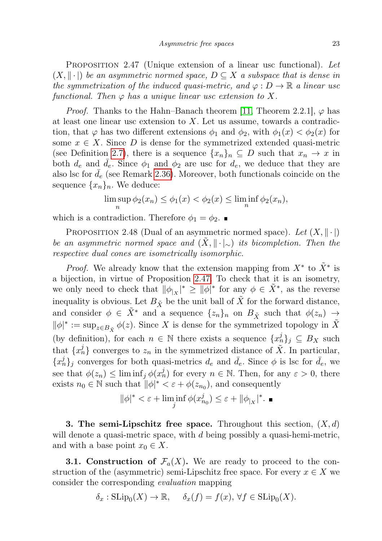<span id="page-22-2"></span>PROPOSITION 2.47 (Unique extension of a linear usc functional). Let  $(X, \|\cdot\|)$  be an asymmetric normed space,  $D \subseteq X$  a subspace that is dense in the symmetrization of the induced quasi-metric, and  $\varphi : D \to \mathbb{R}$  a linear usc functional. Then  $\varphi$  has a unique linear usc extension to X.

*Proof.* Thanks to the Hahn–Banach theorem [\[11,](#page-46-14) Theorem 2.2.1],  $\varphi$  has at least one linear usc extension to X. Let us assume, towards a contradiction, that  $\varphi$  has two different extensions  $\phi_1$  and  $\phi_2$ , with  $\phi_1(x) < \phi_2(x)$  for some  $x \in X$ . Since D is dense for the symmetrized extended quasi-metric (see Definition [2.7\)](#page-7-3), there is a sequence  $\{x_n\}_n \subseteq D$  such that  $x_n \to x$  in both  $d_e$  and  $d_e$ . Since  $\phi_1$  and  $\phi_2$  are usc for  $d_e$ , we deduce that they are also lsc for  $d_e$  (see Remark [2.36\)](#page-17-2). Moreover, both functionals coincide on the sequence  $\{x_n\}_n$ . We deduce:

$$
\limsup_{n} \phi_2(x_n) \le \phi_1(x) < \phi_2(x) \le \liminf_{n} \phi_2(x_n),
$$

which is a contradiction. Therefore  $\phi_1 = \phi_2$ .

<span id="page-22-3"></span>PROPOSITION 2.48 (Dual of an asymmetric normed space). Let  $(X, \|\cdot\|)$ be an asymmetric normed space and  $(X, \|\cdot\|_{\sim})$  its bicompletion. Then the respective dual cones are isometrically isomorphic.

*Proof.* We already know that the extension mapping from  $X^*$  to  $\tilde{X}^*$  is a bijection, in virtue of Proposition [2.47.](#page-22-2) To check that it is an isometry, we only need to check that  $\|\phi_{|X}\|^* \ge \|\phi\|^*$  for any  $\phi \in \tilde{X}^*$ , as the reverse inequality is obvious. Let  $B_{\tilde{X}}$  be the unit ball of  $\tilde{X}$  for the forward distance, and consider  $\phi \in \tilde{X}^*$  and a sequence  $\{z_n\}_n$  on  $B_{\tilde{X}}$  such that  $\phi(z_n) \to$  $\|\phi\|^* := \sup_{z \in B_{\tilde{X}}} \phi(z)$ . Since X is dense for the symmetrized topology in  $\tilde{X}$ (by definition), for each  $n \in \mathbb{N}$  there exists a sequence  $\{x_n^j\}_j \subseteq B_X$  such that  $\{x_n^j\}$  converges to  $z_n$  in the symmetrized distance of  $\tilde{X}$ . In particular,  ${x_n^j}_j$  converges for both quasi-metrics  $d_e$  and  $\bar{d}_e$ . Since  $\phi$  is lsc for  $\bar{d}_e$ , we see that  $\phi(z_n) \leq \liminf_j \phi(x_n^j)$  for every  $n \in \mathbb{N}$ . Then, for any  $\varepsilon > 0$ , there exists  $n_0 \in \mathbb{N}$  such that  $\|\phi\|^* < \varepsilon + \phi(z_{n_0})$ , and consequently

$$
\|\phi\|^*<\varepsilon+\liminf_j\phi(x_{n_0}^j)\leq\varepsilon+\|\phi_{|_X}\|^*.\ \blacksquare
$$

<span id="page-22-0"></span>**3. The semi-Lipschitz free space.** Throughout this section,  $(X, d)$ will denote a quasi-metric space, with  $d$  being possibly a quasi-hemi-metric, and with a base point  $x_0 \in X$ .

<span id="page-22-1"></span>**3.1. Construction of**  $\mathcal{F}_a(X)$ **.** We are ready to proceed to the construction of the (asymmetric) semi-Lipschitz free space. For every  $x \in X$  we consider the corresponding evaluation mapping

$$
\delta_x : \text{SLip}_0(X) \to \mathbb{R}, \quad \delta_x(f) = f(x), \forall f \in \text{SLip}_0(X).
$$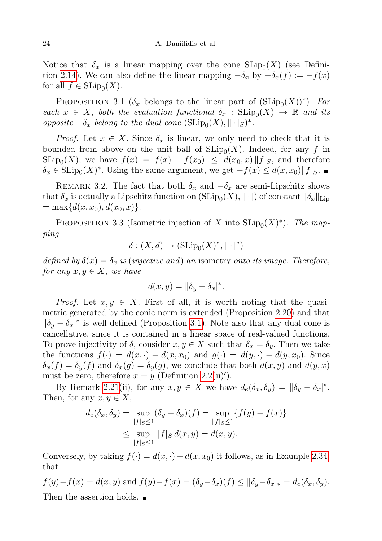Notice that  $\delta_x$  is a linear mapping over the cone  $\text{SLip}_0(X)$  (see Defini-tion [2.14\)](#page-10-1). We can also define the linear mapping  $-\delta_x$  by  $-\delta_x(f) := -f(x)$ for all  $f \in \text{SLip}_0(X)$ .

<span id="page-23-0"></span>PROPOSITION 3.1 ( $\delta_x$  belongs to the linear part of  $(SLip_0(X))^*$ ). For each  $x \in X$ , both the evaluation functional  $\delta_x : \text{SLip}_0(X) \to \mathbb{R}$  and its opposite  $-\delta_x$  belong to the dual cone  $(\text{SLip}_0(X), \|\cdot\|_S)^*$ .

*Proof.* Let  $x \in X$ . Since  $\delta_x$  is linear, we only need to check that it is bounded from above on the unit ball of  $\text{SLip}_0(X)$ . Indeed, for any f in  $\text{SLip}_0(X)$ , we have  $f(x) = f(x) - f(x_0) \leq d(x_0, x) ||f|_S$ , and therefore  $\delta_x \in \text{SLip}_0(X)^*$ . Using the same argument, we get  $-f(x) \leq d(x, x_0) ||f||_S$ .

REMARK 3.2. The fact that both  $\delta_x$  and  $-\delta_x$  are semi-Lipschitz shows that  $\delta_x$  is actually a Lipschitz function on  $(\mathrm{SLip}_0(X), \|\cdot|)$  of constant  $\|\delta_x\|_{\mathrm{Lip}}$  $=\max\{d(x, x_0), d(x_0, x)\}.$ 

<span id="page-23-1"></span>PROPOSITION 3.3 (Isometric injection of X into  $\text{SLip}_0(X)^*$ ). The mapping

$$
\delta : (X, d) \to (\text{SLip}_0(X)^*, ||\cdot|^*)
$$

defined by  $\delta(x) = \delta_x$  is (injective and) an isometry onto its image. Therefore, for any  $x, y \in X$ , we have

$$
d(x, y) = ||\delta_y - \delta_x|^*.
$$

*Proof.* Let  $x, y \in X$ . First of all, it is worth noting that the quasimetric generated by the conic norm is extended (Proposition [2.20\)](#page-12-1) and that  $\|\delta_y - \delta_x\|^*$  is well defined (Proposition [3.1\)](#page-23-0). Note also that any dual cone is cancellative, since it is contained in a linear space of real-valued functions. To prove injectivity of  $\delta$ , consider  $x, y \in X$  such that  $\delta_x = \delta_y$ . Then we take the functions  $f(\cdot) = d(x, \cdot) - d(x, x_0)$  and  $g(\cdot) = d(y, \cdot) - d(y, x_0)$ . Since  $\delta_x(f) = \delta_y(f)$  and  $\delta_x(g) = \delta_y(g)$ , we conclude that both  $d(x, y)$  and  $d(y, x)$ must be zero, therefore  $x = y$  (Definition [2.2\(](#page-5-1)ii)').

By Remark [2.21\(](#page-12-2)ii), for any  $x, y \in X$  we have  $d_e(\delta_x, \delta_y) = ||\delta_y - \delta_x||^*$ . Then, for any  $x, y \in X$ ,

$$
d_e(\delta_x, \delta_y) = \sup_{\|f\|_S \le 1} (\delta_y - \delta_x)(f) = \sup_{\|f\|_S \le 1} \{f(y) - f(x)\}
$$
  

$$
\le \sup_{\|f\|_S \le 1} \|f\|_S d(x, y) = d(x, y).
$$

Conversely, by taking  $f(\cdot) = d(x, \cdot) - d(x, x_0)$  it follows, as in Example [2.34,](#page-16-1) that

$$
f(y)-f(x) = d(x, y)
$$
 and  $f(y)-f(x) = (\delta_y - \delta_x)(f) \le ||\delta_y - \delta_x||_* = d_e(\delta_x, \delta_y)$ .  
Then the assertion holds.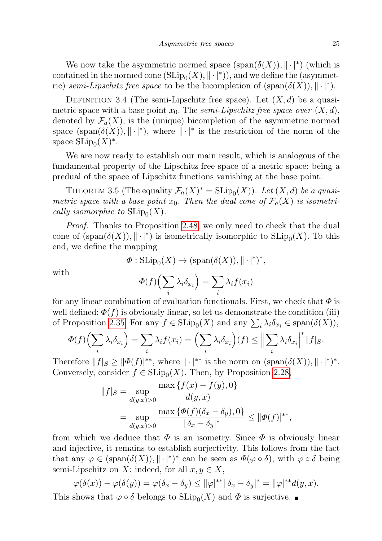We now take the asymmetric normed space  $(\text{span}(\delta(X)), \|\cdot\|^*)$  (which is contained in the normed cone  $(\mathrm{SLip}_0(X), \|\cdot|^*))$ , and we define the (asymmetric) semi-Lipschitz free space to be the bicompletion of  $(\text{span}(\delta(X)), \|\cdot\|^*)$ .

<span id="page-24-0"></span>DEFINITION 3.4 (The semi-Lipschitz free space). Let  $(X, d)$  be a quasimetric space with a base point  $x_0$ . The semi-Lipschitz free space over  $(X, d)$ , denoted by  $\mathcal{F}_a(X)$ , is the (unique) bicompletion of the asymmetric normed space  $(\text{span}(\delta(X)), \|\cdot\|^*)$ , where  $\|\cdot\|^*$  is the restriction of the norm of the space  $\text{SLip}_0(X)^*$ .

We are now ready to establish our main result, which is analogous of the fundamental property of the Lipschitz free space of a metric space: being a predual of the space of Lipschitz functions vanishing at the base point.

<span id="page-24-1"></span>THEOREM 3.5 (The equality  $\mathcal{F}_a(X)^* = \text{SLip}_0(X)$ ). Let  $(X, d)$  be a quasimetric space with a base point  $x_0$ . Then the dual cone of  $\mathcal{F}_a(X)$  is isometrically isomorphic to  $\text{SLip}_0(X)$ .

Proof. Thanks to Proposition [2.48,](#page-22-3) we only need to check that the dual cone of  $(\text{span}(\delta(X)), \|\cdot\|^*)$  is isometrically isomorphic to  $\text{SLip}_0(X)$ . To this end, we define the mapping

$$
\Phi: \mathrm{SLip}_0(X) \to (\mathrm{span}(\delta(X)), \|\cdot\|^*)^*,
$$

with

$$
\Phi(f)\left(\sum_i \lambda_i \delta_{x_i}\right) = \sum_i \lambda_i f(x_i)
$$

for any linear combination of evaluation functionals. First, we check that  $\Phi$  is well defined:  $\Phi(f)$  is obviously linear, so let us demonstrate the condition (iii) of Proposition [2.35.](#page-17-0) For any  $f \in \text{SLip}_0(X)$  and any  $\sum_i \lambda_i \delta_{x_i} \in \text{span}(\delta(X)),$ 

$$
\Phi(f)\left(\sum_{i}\lambda_{i}\delta_{x_{i}}\right)=\sum_{i}\lambda_{i}f(x_{i})=\left(\sum_{i}\lambda_{i}\delta_{x_{i}}\right)(f)\leq\left\|\sum_{i}\lambda_{i}\delta_{x_{i}}\right|^{*}\|f|_{S}.
$$

Therefore  $||f||_{S} \ge ||\Phi(f)|^{**}$ , where  $||\cdot|^{**}$  is the norm on  $(\text{span}(\delta(X)), ||\cdot|^*)^*$ . Conversely, consider  $f \in \text{SLip}_0(X)$ . Then, by Proposition [2.28,](#page-14-3)

$$
||f||_S = \sup_{d(y,x)>0} \frac{\max\{f(x) - f(y), 0\}}{d(y,x)} = \sup_{d(y,x)>0} \frac{\max\{\Phi(f)(\delta_x - \delta_y), 0\}}{||\delta_x - \delta_y||^*} \le ||\Phi(f)||^{**},
$$

from which we deduce that  $\Phi$  is an isometry. Since  $\Phi$  is obviously linear and injective, it remains to establish surjectivity. This follows from the fact that any  $\varphi \in (\text{span}(\delta(X)), \| \cdot \|^*)^*$  can be seen as  $\Phi(\varphi \circ \delta)$ , with  $\varphi \circ \delta$  being semi-Lipschitz on X: indeed, for all  $x, y \in X$ ,

$$
\varphi(\delta(x)) - \varphi(\delta(y)) = \varphi(\delta_x - \delta_y) \le ||\varphi|^{**} ||\delta_x - \delta_y|^* = ||\varphi|^{**} d(y, x).
$$

This shows that  $\varphi \circ \delta$  belongs to  $\text{SLip}_0(X)$  and  $\Phi$  is surjective.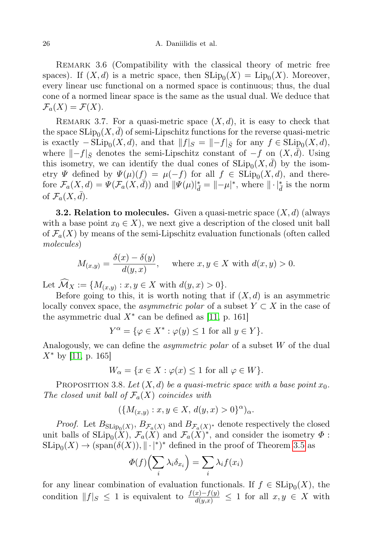REMARK 3.6 (Compatibility with the classical theory of metric free spaces). If  $(X, d)$  is a metric space, then  $\text{SLip}_0(X) = \text{Lip}_0(X)$ . Moreover, every linear usc functional on a normed space is continuous; thus, the dual cone of a normed linear space is the same as the usual dual. We deduce that  $\mathcal{F}_a(X) = \mathcal{F}(X).$ 

REMARK 3.7. For a quasi-metric space  $(X, d)$ , it is easy to check that the space  $\mathrm{SLip}_0(X,\bar{d})$  of semi-Lipschitz functions for the reverse quasi-metric is exactly  $-\text{SLip}_0(X, d)$ , and that  $||f||_S = ||-f||_{\bar{S}}$  for any  $f \in \text{SLip}_0(X, d)$ , where  $\Vert -f\Vert_{\bar{S}}$  denotes the semi-Lipschitz constant of  $-f$  on  $(X, d)$ . Using this isometry, we can identify the dual cones of  $\text{SLip}_0(X, \bar{d})$  by the isometry  $\Psi$  defined by  $\Psi(\mu)(f) = \mu(-f)$  for all  $f \in \text{SLip}_0(X, d)$ , and therefore  $\mathcal{F}_a(X,d) = \Psi(\mathcal{F}_a(X,\tilde{d}))$  and  $\|\Psi(\mu)\|_{\tilde{d}}^* = \|\mu\|^*$ , where  $\|\cdot\|_{\tilde{d}}^*$  is the norm of  $\mathcal{F}_a(X, \bar{d})$ .

<span id="page-25-0"></span>**3.2. Relation to molecules.** Given a quasi-metric space  $(X, d)$  (always with a base point  $x_0 \in X$ , we next give a description of the closed unit ball of  $\mathcal{F}_a(X)$  by means of the semi-Lipschitz evaluation functionals (often called molecules)

$$
M_{(x,y)} = \frac{\delta(x) - \delta(y)}{d(y,x)}, \quad \text{where } x, y \in X \text{ with } d(x,y) > 0.
$$

Let  $\mathcal{M}_X := \{ M_{(x,y)} : x, y \in X \text{ with } d(y,x) > 0 \}.$ 

Before going to this, it is worth noting that if  $(X, d)$  is an asymmetric locally convex space, the *asymmetric polar* of a subset  $Y \subset X$  in the case of the asymmetric dual  $X^*$  can be defined as [\[11,](#page-46-14) p. 161]

$$
Y^{\alpha} = \{ \varphi \in X^* : \varphi(y) \le 1 \text{ for all } y \in Y \}.
$$

Analogously, we can define the asymmetric polar of a subset W of the dual  $X^*$  by [\[11,](#page-46-14) p. 165]

$$
W_{\alpha} = \{ x \in X : \varphi(x) \le 1 \text{ for all } \varphi \in W \}.
$$

PROPOSITION 3.8. Let  $(X, d)$  be a quasi-metric space with a base point  $x_0$ . The closed unit ball of  $\mathcal{F}_a(X)$  coincides with

$$
(\{M_{(x,y)} : x, y \in X, d(y,x) > 0\}^{\alpha})_{\alpha}.
$$

*Proof.* Let  $B_{SLip_0(X)}$ ,  $B_{\mathcal{F}_a(X)}$  and  $B_{\mathcal{F}_a(X)}$  denote respectively the closed unit balls of  $\text{SLip}_0(X)$ ,  $\mathcal{F}_a(X)$  and  $\mathcal{F}_a(X)^*$ , and consider the isometry  $\Phi$ :  $\text{SLip}_0(X) \to (\text{span}(\delta(X)), \|\cdot\|^*)^*$  defined in the proof of Theorem [3.5](#page-24-1) as

$$
\Phi(f)\left(\sum_i \lambda_i \delta_{x_i}\right) = \sum_i \lambda_i f(x_i)
$$

for any linear combination of evaluation functionals. If  $f \in \mathrm{SLip}_0(X)$ , the condition  $||f||_S \leq 1$  is equivalent to  $\frac{f(x)-f(y)}{d(y,x)} \leq 1$  for all  $x, y \in X$  with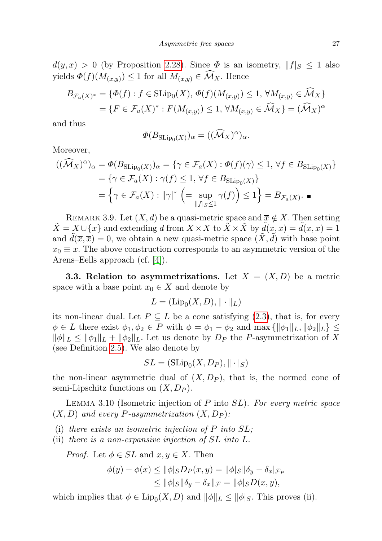$d(y, x) > 0$  (by Proposition [2.28\)](#page-14-3). Since  $\Phi$  is an isometry,  $||f||_{S} \leq 1$  also yields  $\Phi(f)(M_{(x,y)}) \leq 1$  for all  $M_{(x,y)} \in \mathcal{M}_X$ . Hence

$$
B_{\mathcal{F}_a(X)^*} = \{ \Phi(f) : f \in \text{SLip}_0(X), \Phi(f)(M_{(x,y)}) \le 1, \forall M_{(x,y)} \in \mathcal{M}_X \}
$$
  
= 
$$
\{ F \in \mathcal{F}_a(X)^* : F(M_{(x,y)}) \le 1, \forall M_{(x,y)} \in \widehat{\mathcal{M}}_X \} = (\widehat{\mathcal{M}}_X)^{\alpha}
$$

and thus

$$
\Phi(B_{\mathrm{SLip}_0(X)})_\alpha = ((\widehat{\mathcal{M}}_X)^\alpha)_\alpha.
$$

Moreover,

$$
\begin{aligned} ((\widehat{\mathcal{M}}_X)^{\alpha})_{\alpha} &= \Phi(B_{\text{SLip}_0(X)})_{\alpha} = \{ \gamma \in \mathcal{F}_a(X) : \Phi(f)(\gamma) \le 1, \, \forall f \in B_{\text{SLip}_0(X)} \} \\ &= \{ \gamma \in \mathcal{F}_a(X) : \gamma(f) \le 1, \, \forall f \in B_{\text{SLip}_0(X)} \} \\ &= \left\{ \gamma \in \mathcal{F}_a(X) : \|\gamma\|^* \ \left( = \sup_{\|f\|_S \le 1} \gamma(f) \right) \le 1 \right\} = B_{\mathcal{F}_a(X)}. \end{aligned}
$$

<span id="page-26-1"></span>REMARK 3.9. Let  $(X, d)$  be a quasi-metric space and  $\overline{x} \notin X$ . Then setting  $\overline{X} = X \cup {\overline{x}}$  and extending d from  $X \times X$  to  $\overline{X} \times \overline{X}$  by  $d(x, \overline{x}) = d(\overline{x}, x) = 1$ and  $\tilde{d}(\overline{x}, \overline{x}) = 0$ , we obtain a new quasi-metric space  $(\tilde{X}, \tilde{d})$  with base point  $x_0 \equiv \overline{x}$ . The above construction corresponds to an asymmetric version of the Arens–Eells approach (cf. [\[4\]](#page-46-1)).

<span id="page-26-0"></span>**3.3. Relation to asymmetrizations.** Let  $X = (X, D)$  be a metric space with a base point  $x_0 \in X$  and denote by

$$
L = (\text{Lip}_0(X, D), \|\cdot\|_L)
$$

its non-linear dual. Let  $P \subseteq L$  be a cone satisfying [\(2.3\)](#page-4-1), that is, for every  $\phi \in L$  there exist  $\phi_1, \phi_2 \in P$  with  $\phi = \phi_1 - \phi_2$  and  $\max\{\|\phi_1\|_L, \|\phi_2\|_L\} \leq$  $\|\phi\|_{L} \leq \|\phi_1\|_{L} + \|\phi_2\|_{L}$ . Let us denote by  $D_P$  the P-asymmetrization of X (see Definition [2.5\)](#page-6-0). We also denote by

$$
SL = (\operatorname{SLip}_0(X, D_P), ||\cdot|_S)
$$

the non-linear asymmetric dual of  $(X, D_P)$ , that is, the normed cone of semi-Lipschitz functions on  $(X, D_P)$ .

<span id="page-26-2"></span>LEMMA 3.10 (Isometric injection of  $P$  into  $SL$ ). For every metric space  $(X, D)$  and every P-asymmetrization  $(X, D_P)$ :

(i) there exists an isometric injection of  $P$  into  $SL$ ;

(ii) there is a non-expansive injection of SL into L.

*Proof.* Let  $\phi \in SL$  and  $x, y \in X$ . Then

$$
\begin{aligned} \phi(y) - \phi(x) &\leq \|\phi|_S D_P(x, y) = \|\phi|_S \|\delta_y - \delta_x|_{\mathcal{F}_P} \\ &\leq \|\phi|_S \|\delta_y - \delta_x\|_{\mathcal{F}} = \|\phi|_S D(x, y), \end{aligned}
$$

which implies that  $\phi \in \text{Lip}_0(X, D)$  and  $\|\phi\|_L \le \|\phi\|_S$ . This proves (ii).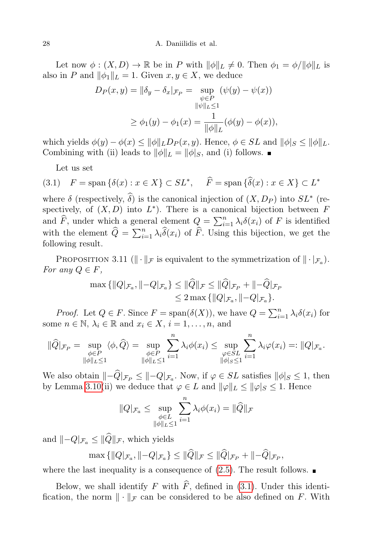Let now  $\phi: (X, D) \to \mathbb{R}$  be in P with  $\|\phi\|_L \neq 0$ . Then  $\phi_1 = \phi/\|\phi\|_L$  is also in P and  $\|\phi_1\|_L = 1$ . Given  $x, y \in X$ , we deduce

$$
D_P(x, y) = ||\delta_y - \delta_x|_{\mathcal{F}_P} = \sup_{\substack{\psi \in P \\ ||\psi||_L \le 1}} (\psi(y) - \psi(x))
$$
  

$$
\ge \phi_1(y) - \phi_1(x) = \frac{1}{||\phi||_L} (\phi(y) - \phi(x)),
$$

which yields  $\phi(y) - \phi(x) \le ||\phi||_L D_P(x, y)$ . Hence,  $\phi \in SL$  and  $||\phi||_S \le ||\phi||_L$ . Combining with (ii) leads to  $\|\phi\|_L = \|\phi\|_S$ , and (i) follows.

<span id="page-27-0"></span>Let us set

(3.1) 
$$
F = \text{span}\{\delta(x) : x \in X\} \subset SL^*, \quad \widehat{F} = \text{span}\{\widehat{\delta}(x) : x \in X\} \subset L^*
$$

where  $\delta$  (respectively,  $\widehat{\delta}$ ) is the canonical injection of  $(X, D_P)$  into  $SL^*$  (respectively, of  $(X, D)$  into  $L^*$ ). There is a canonical bijection between F and  $\widehat{F}$ , under which a general element  $Q = \sum_{i=1}^{n} \lambda_i \delta(x_i)$  of F is identified with the element  $\widehat{Q} = \sum_{i=1}^n \lambda_i \widehat{\delta}(x_i)$  of  $\widehat{F}$ . Using this bijection, we get the following result.

<span id="page-27-1"></span>PROPOSITION 3.11 ( $\|\cdot\|_{\mathcal{F}}$  is equivalent to the symmetrization of  $\|\cdot|_{\mathcal{F}_a}$ ). For any  $Q \in F$ ,

$$
\max\{\|Q|_{\mathcal{F}_a},\| - Q|_{\mathcal{F}_a}\} \leq \|\widehat{Q}\|_{\mathcal{F}} \leq \|\widehat{Q}\|_{\mathcal{F}_P} + \| - \widehat{Q}|_{\mathcal{F}_P} \leq 2 \max\{\|Q|_{\mathcal{F}_a}, \| - Q|_{\mathcal{F}_a}\}.
$$

*Proof.* Let  $Q \in F$ . Since  $F = \text{span}(\delta(X))$ , we have  $Q = \sum_{i=1}^{n} \lambda_i \delta(x_i)$  for some  $n \in \mathbb{N}$ ,  $\lambda_i \in \mathbb{R}$  and  $x_i \in X$ ,  $i = 1, \ldots, n$ , and

$$
\|\widehat{Q}\|_{\mathcal{F}_P} = \sup_{\substack{\phi \in P \\ \|\phi\|_{L} \le 1}} \langle \phi, \widehat{Q} \rangle = \sup_{\substack{\phi \in P \\ \|\phi\|_{L} \le 1}} \sum_{i=1}^{n} \lambda_i \phi(x_i) \le \sup_{\substack{\phi \in SL \\ \|\phi\|_{S} \le 1}} \sum_{i=1}^{n} \lambda_i \varphi(x_i) =: \|Q\|_{\mathcal{F}_a}.
$$

We also obtain  $\|-Q|_{\mathcal{F}_P} \leq \|-Q|_{\mathcal{F}_a}$ . Now, if  $\varphi \in SL$  satisfies  $\|\phi\|_{S} \leq 1$ , then by Lemma [3.10\(](#page-26-2)ii) we deduce that  $\varphi \in L$  and  $\|\varphi\|_L \le \|\varphi\|_S \le 1$ . Hence

$$
||Q|_{\mathcal{F}_a} \leq \sup_{\substack{\phi \in L \\ ||\phi||_L \leq 1}} \sum_{i=1}^n \lambda_i \phi(x_i) = ||\widehat{Q}||_{\mathcal{F}}
$$

and  $\|-Q|_{\mathcal{F}_a}\leq \|\widehat{Q}\|_{\mathcal{F}},$  which yields

$$
\max\{\|Q|_{\mathcal{F}_a},\|-Q|_{\mathcal{F}_a}\}\leq \|\hat{Q}\|_{\mathcal{F}}\leq \|\hat{Q}|_{\mathcal{F}_P}+\|-\hat{Q}|_{\mathcal{F}_P},
$$

where the last inequality is a consequence of  $(2.5)$ . The result follows.

Below, we shall identify F with  $\widehat{F}$ , defined in [\(3.1\)](#page-27-0). Under this identification, the norm  $\|\cdot\|_{\mathcal{F}}$  can be considered to be also defined on F. With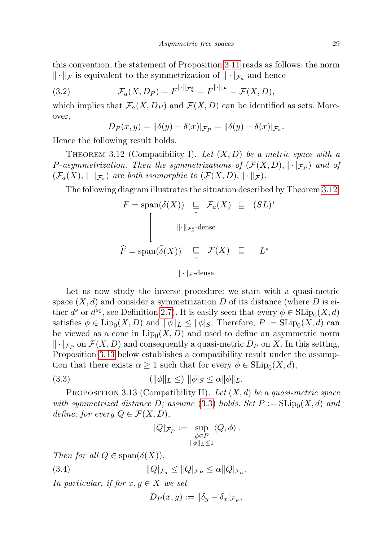this convention, the statement of Proposition [3.11](#page-27-1) reads as follows: the norm  $\|\cdot\|_{\mathcal{F}}$  is equivalent to the symmetrization of  $\|\cdot\|_{\mathcal{F}_a}$  and hence

(3.2) 
$$
\mathcal{F}_a(X, D_P) = \overline{F}^{\|\cdot\|_{\mathcal{F}_a^s}} = \overline{F}^{\|\cdot\|_{\mathcal{F}}} = \mathcal{F}(X, D),
$$

which implies that  $\mathcal{F}_a(X, D_P)$  and  $\mathcal{F}(X, D)$  can be identified as sets. Moreover,

<span id="page-28-4"></span>
$$
D_P(x, y) = ||\delta(y) - \delta(x)|_{\mathcal{F}_P} = ||\delta(y) - \delta(x)|_{\mathcal{F}_a}.
$$

Hence the following result holds.

<span id="page-28-0"></span>THEOREM 3.12 (Compatibility I). Let  $(X, D)$  be a metric space with a P-asymmetrization. Then the symmetrizations of  $(\mathcal{F}(X,D), \|\cdot\|_{\mathcal{F}_P})$  and of  $(\mathcal{F}_a(X), \|\cdot\|_{\mathcal{F}_a})$  are both isomorphic to  $(\mathcal{F}(X, D), \|\cdot\|_{\mathcal{F}})$ .

The following diagram illustrates the situation described by Theorem [3.12:](#page-28-0)

$$
F = \text{span}(\delta(X)) \subseteq \mathcal{F}_a(X) \subseteq (SL)^*
$$
  

$$
\downarrow \qquad \qquad \parallel \cdot \parallel_{\mathcal{F}_a^s} \text{-dense}
$$
  

$$
\widehat{F} = \text{span}(\widehat{\delta}(X)) \subseteq \mathcal{F}(X) \subseteq L^*
$$
  

$$
\parallel \cdot \parallel_{\mathcal{F}} \text{-dense}
$$

Let us now study the inverse procedure: we start with a quasi-metric space  $(X, d)$  and consider a symmetrization D of its distance (where D is either  $d^s$  or  $d^{s_0}$ , see Definition [2.7\)](#page-7-3). It is easily seen that every  $\phi \in \mathrm{SLip}_0(X, d)$ satisfies  $\phi \in \text{Lip}_0(X, D)$  and  $\|\phi\|_L \le \|\phi|_S$ . Therefore,  $P := \text{SLip}_0(X, d)$  can be viewed as a cone in  $\text{Lip}_0(X, D)$  and used to define an asymmetric norm  $\|\cdot\|_{\mathcal{F}_P}$  on  $\mathcal{F}(X,D)$  and consequently a quasi-metric  $D_P$  on X. In this setting, Proposition [3.13](#page-28-1) below establishes a compatibility result under the assumption that there exists  $\alpha \geq 1$  such that for every  $\phi \in \text{SLip}_0(X, d)$ ,

$$
(3.3) \t\t\t\t(|\phi||_L \leq) \|\phi|_S \leq \alpha \|\phi\|_L.
$$

<span id="page-28-1"></span>PROPOSITION 3.13 (Compatibility II). Let  $(X, d)$  be a quasi-metric space with symmetrized distance D; assume  $(3.3)$  holds. Set  $P := \text{SLip}_0(X, d)$  and define, for every  $Q \in \mathcal{F}(X,D)$ ,

<span id="page-28-3"></span><span id="page-28-2"></span>
$$
||Q|_{\mathcal{F}_P} := \sup_{\substack{\phi \in P \\ ||\phi||_{L} \leq 1}} \langle Q, \phi \rangle.
$$

Then for all  $Q \in \text{span}(\delta(X)),$ 

(3.4) 
$$
||Q|_{\mathcal{F}_a} \leq ||Q|_{\mathcal{F}_P} \leq \alpha ||Q|_{\mathcal{F}_a}.
$$

In particular, if for  $x, y \in X$  we set

$$
D_P(x,y) := \|\delta_y - \delta_x\|_{\mathcal{F}_P},
$$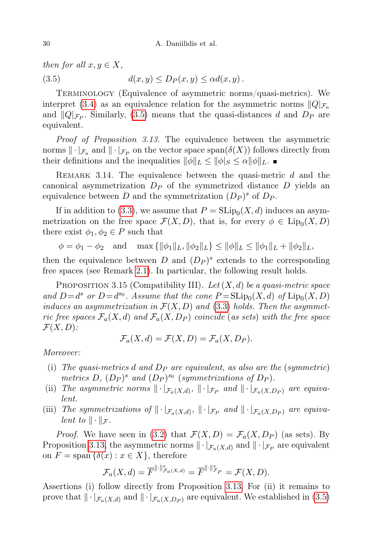<span id="page-29-0"></span>then for all  $x, y \in X$ ,

(3.5)  $d(x, y) \le D_P(x, y) \le \alpha d(x, y)$ .

Terminology (Equivalence of asymmetric norms/quasi-metrics). We interpret [\(3.4\)](#page-28-3) as an equivalence relation for the asymmetric norms  $\|Q\|_{\mathcal{F}_a}$ and  $||Q|_{\mathcal{F}_P}$ . Similarly, [\(3.5\)](#page-29-0) means that the quasi-distances d and  $D_P$  are equivalent.

Proof of Proposition 3.13. The equivalence between the asymmetric norms  $\|\cdot|_{\mathcal{F}_a}$  and  $\|\cdot|_{\mathcal{F}_P}$  on the vector space  $\text{span}(\delta(X))$  follows directly from their definitions and the inequalities  $\|\phi\|_L \le \|\phi\|_S \le \alpha \|\phi\|_L$ .

REMARK 3.14. The equivalence between the quasi-metric  $d$  and the canonical asymmetrization  $D<sub>P</sub>$  of the symmetrized distance D yields an equivalence between D and the symmetrization  $(D_P)^s$  of  $D_P$ .

If in addition to [\(3.3\)](#page-28-2), we assume that  $P = \text{SLip}_0(X, d)$  induces an asymmetrization on the free space  $\mathcal{F}(X,D)$ , that is, for every  $\phi \in \text{Lip}_0(X,D)$ there exist  $\phi_1, \phi_2 \in P$  such that

 $\phi = \phi_1 - \phi_2$  and  $\max{\{\|\phi_1\|_L, \|\phi_2\|_L\}} \leq \|\phi\|_L \leq \|\phi_1\|_L + \|\phi_2\|_L$ 

then the equivalence between  $D$  and  $(D_P)^s$  extends to the corresponding free spaces (see Remark [2.1\)](#page-4-3). In particular, the following result holds.

<span id="page-29-1"></span>PROPOSITION 3.15 (Compatibility III). Let  $(X, d)$  be a quasi-metric space and  $D=d^s$  or  $D=d^{s_0}$ . Assume that the cone  $P=\text{SLip}_0(X,d)$  of  $\text{Lip}_0(X,D)$ induces an asymmetrization in  $\mathcal{F}(X, D)$  and [\(3.3\)](#page-28-2) holds. Then the asymmetric free spaces  $\mathcal{F}_a(X, d)$  and  $\mathcal{F}_a(X, D_P)$  coincide (as sets) with the free space  $\mathcal{F}(X,D)$ :

$$
\mathcal{F}_a(X,d) = \mathcal{F}(X,D) = \mathcal{F}_a(X,D_P).
$$

Moreover:

- (i) The quasi-metrics d and  $D_P$  are equivalent, as also are the (symmetric) metrics D,  $(D_P)^s$  and  $(D_P)^{s_0}$  (symmetrizations of  $D_P$ ).
- (ii) The asymmetric norms  $\|\cdot|_{\mathcal{F}_a(X,d)}, \|\cdot|_{\mathcal{F}_P}$  and  $\|\cdot|_{\mathcal{F}_a(X,D_P)}$  are equivalent.
- (iii) The symmetrizations of  $\|\cdot|_{\mathcal{F}_a(X,d)}, \|\cdot|_{\mathcal{F}_P}$  and  $\|\cdot|_{\mathcal{F}_a(X,D_P)}$  are equivalent to  $\|\cdot\|_{\mathcal{F}}$ .

*Proof.* We have seen in [\(3.2\)](#page-28-4) that  $\mathcal{F}(X, D) = \mathcal{F}_a(X, D_P)$  (as sets). By Proposition [3.13,](#page-28-1) the asymmetric norms  $\|\cdot|_{\mathcal{F}_a(X,d)}$  and  $\|\cdot|_{\mathcal{F}_P}$  are equivalent on  $F = \text{span} \{ \delta(x) : x \in X \}$ , therefore

$$
\mathcal{F}_a(X,d) = \overline{F}^{\|\cdot\|_{\mathcal{F}_a(X,d)}} = \overline{F}^{\|\cdot\|_{\mathcal{F}_P}^s} = \mathcal{F}(X,D).
$$

Assertions (i) follow directly from Proposition [3.13.](#page-28-1) For (ii) it remains to prove that  $\|\cdot|_{\mathcal{F}_a(X,d)}$  and  $\|\cdot|_{\mathcal{F}_a(X,D_P)}$  are equivalent. We established in [\(3.5\)](#page-29-0)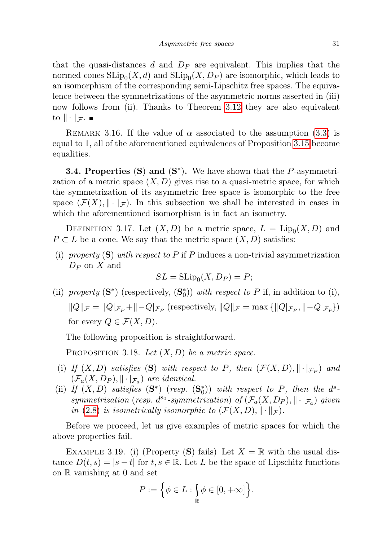that the quasi-distances d and  $D<sub>P</sub>$  are equivalent. This implies that the normed cones  $\text{SLip}_0(X, d)$  and  $\text{SLip}_0(X, D_P)$  are isomorphic, which leads to an isomorphism of the corresponding semi-Lipschitz free spaces. The equivalence between the symmetrizations of the asymmetric norms asserted in (iii) now follows from (ii). Thanks to Theorem [3.12](#page-28-0) they are also equivalent to  $\|\cdot\|_{\mathcal{F}}$ .

REMARK 3.16. If the value of  $\alpha$  associated to the assumption [\(3.3\)](#page-28-2) is equal to 1, all of the aforementioned equivalences of Proposition [3.15](#page-29-1) become equalities.

<span id="page-30-0"></span>**3.4. Properties (S) and**  $(S^*)$ **.** We have shown that the *P*-asymmetrization of a metric space  $(X, D)$  gives rise to a quasi-metric space, for which the symmetrization of its asymmetric free space is isomorphic to the free space  $(\mathcal{F}(X), \|\cdot\|_{\mathcal{F}})$ . In this subsection we shall be interested in cases in which the aforementioned isomorphism is in fact an isometry.

DEFINITION 3.17. Let  $(X, D)$  be a metric space,  $L = \text{Lip}_0(X, D)$  and  $P \subset L$  be a cone. We say that the metric space  $(X, D)$  satisfies:

(i) property  $(S)$  with respect to P if P induces a non-trivial asymmetrization  $D_P$  on X and

$$
SL = \operatorname{SLip}_0(X, D_P) = P;
$$

(ii) property  $(S^*)$  (respectively,  $(S_0^*)$ ) with respect to P if, in addition to (i),  $||Q||_{\mathcal{F}} = ||Q|_{\mathcal{F}_P} + ||-Q|_{\mathcal{F}_P}$  (respectively,  $||Q||_{\mathcal{F}} = \max{||Q|_{\mathcal{F}_P}, ||-Q|_{\mathcal{F}_P}}\}$ ) for every  $Q \in \mathcal{F}(X,D)$ .

The following proposition is straightforward.

<span id="page-30-1"></span>PROPOSITION 3.18. Let  $(X, D)$  be a metric space.

- (i) If  $(X, D)$  satisfies (S) with respect to P, then  $(\mathcal{F}(X, D), \|\cdot\|_{\mathcal{F}_P})$  and  $(\mathcal{F}_a(X, D_P), \|\cdot\|_{\mathcal{F}_a})$  are identical.
- (ii) If  $(X, D)$  satisfies  $(S^*)$  (resp.  $(S_0^*)$ ) with respect to P, then the  $d^s$ symmetrization (resp. d<sup>so</sup>-symmetrization) of  $(\mathcal{F}_a(X, D_P), ||\cdot|_{\mathcal{F}_a})$  given in [\(2.8\)](#page-7-1) is isometrically isomorphic to  $(\mathcal{F}(X,D), \|\cdot\|_{\mathcal{F}})$ .

Before we proceed, let us give examples of metric spaces for which the above properties fail.

<span id="page-30-2"></span>EXAMPLE 3.19. (i) (Property (S) fails) Let  $X = \mathbb{R}$  with the usual distance  $D(t, s) = |s - t|$  for  $t, s \in \mathbb{R}$ . Let L be the space of Lipschitz functions on R vanishing at 0 and set

$$
P:=\Big\{\phi\in L:\smallint_{\mathbb{R}}\phi\in[0,+\infty]\Big\}.
$$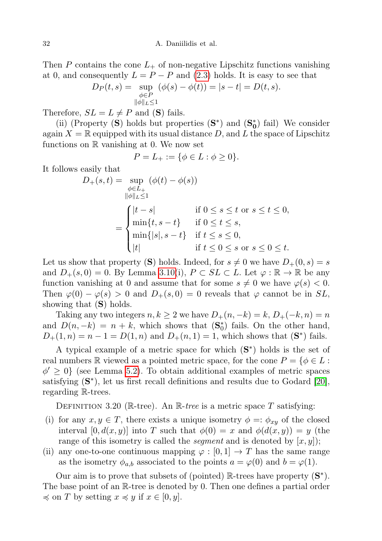Then P contains the cone  $L_{+}$  of non-negative Lipschitz functions vanishing at 0, and consequently  $L = P - P$  and [\(2.3\)](#page-4-1) holds. It is easy to see that

$$
D_P(t,s) = \sup_{\substack{\phi \in P \\ \|\phi\|_{L} \le 1}} (\phi(s) - \phi(t)) = |s - t| = D(t,s).
$$

Therefore,  $SL = L \neq P$  and (S) fails.

(ii) (Property (S) holds but properties  $(S^*)$  and  $(S_0^*)$  fail) We consider again  $X = \mathbb{R}$  equipped with its usual distance D, and L the space of Lipschitz functions on R vanishing at 0. We now set

$$
P = L_+ := \{ \phi \in L : \phi \ge 0 \}.
$$

It follows easily that

$$
D_{+}(s,t) = \sup_{\phi \in L_{+}} (\phi(t) - \phi(s))
$$
  

$$
= \begin{cases} |t-s| & \text{if } 0 \le s \le t \text{ or } s \le t \le 0, \\ \min\{t, s-t\} & \text{if } 0 \le t \le s, \\ \min\{|s|, s-t\} & \text{if } t \le s \le 0, \\ |t| & \text{if } t \le 0 \le s \text{ or } s \le 0 \le t. \end{cases}
$$

Let us show that property (S) holds. Indeed, for  $s \neq 0$  we have  $D_+(0, s) = s$ and  $D_{+}(s, 0) = 0$ . By Lemma [3.10\(](#page-26-2)i),  $P \subset SL \subset L$ . Let  $\varphi : \mathbb{R} \to \mathbb{R}$  be any function vanishing at 0 and assume that for some  $s \neq 0$  we have  $\varphi(s) < 0$ . Then  $\varphi(0) - \varphi(s) > 0$  and  $D_+(s, 0) = 0$  reveals that  $\varphi$  cannot be in SL, showing that  $(S)$  holds.

Taking any two integers  $n, k \geq 2$  we have  $D_+(n, -k) = k, D_+(-k, n) = n$ and  $D(n, -k) = n + k$ , which shows that  $(\mathbf{S}_0^*)$  fails. On the other hand,  $D_{+}(1, n) = n - 1 = D(1, n)$  and  $D_{+}(n, 1) = 1$ , which shows that  $(S^*)$  fails.

A typical example of a metric space for which  $(S^*)$  holds is the set of real numbers R viewed as a pointed metric space, for the cone  $P = \{ \phi \in L :$  $\phi' \geq 0$  (see Lemma [5.2\)](#page-41-0). To obtain additional examples of metric spaces satisfying  $(S^*)$ , let us first recall definitions and results due to Godard [\[20\]](#page-47-8), regarding R-trees.

DEFINITION 3.20 (R-tree). An R-tree is a metric space T satisfying:

- (i) for any  $x, y \in T$ , there exists a unique isometry  $\phi = \phi_{xy}$  of the closed interval  $[0, d(x, y)]$  into T such that  $\phi(0) = x$  and  $\phi(d(x, y)) = y$  (the range of this isometry is called the *segment* and is denoted by  $[x, y]$ ;
- (ii) any one-to-one continuous mapping  $\varphi : [0,1] \to T$  has the same range as the isometry  $\phi_{a,b}$  associated to the points  $a = \varphi(0)$  and  $b = \varphi(1)$ .

Our aim is to prove that subsets of (pointed)  $\mathbb{R}$ -trees have property  $(\mathbf{S}^*)$ . The base point of an R-tree is denoted by 0. Then one defines a partial order  $\preccurlyeq$  on T by setting  $x \preccurlyeq y$  if  $x \in [0, y]$ .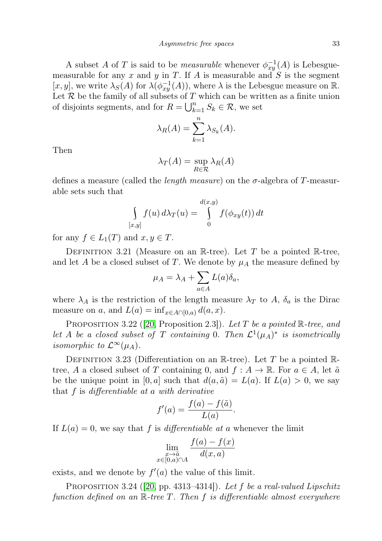A subset A of T is said to be *measurable* whenever  $\phi_{xy}^{-1}(A)$  is Lebesguemeasurable for any x and y in T. If A is measurable and  $S$  is the segment [x, y], we write  $\lambda_S(A)$  for  $\lambda(\phi_{xy}^{-1}(A))$ , where  $\lambda$  is the Lebesgue measure on R. Let  $R$  be the family of all subsets of  $T$  which can be written as a finite union of disjoints segments, and for  $R = \bigcup_{k=1}^{n} S_k \in \mathcal{R}$ , we set

$$
\lambda_R(A) = \sum_{k=1}^n \lambda_{S_k}(A).
$$

Then

$$
\lambda_T(A) = \sup_{R \in \mathcal{R}} \lambda_R(A)
$$

defines a measure (called the *length measure*) on the  $\sigma$ -algebra of T-measurable sets such that

$$
\int_{[x,y]} f(u) d\lambda_T(u) = \int_0^{d(x,y)} f(\phi_{xy}(t)) dt
$$

for any  $f \in L_1(T)$  and  $x, y \in T$ .

DEFINITION 3.21 (Measure on an R-tree). Let T be a pointed R-tree, and let A be a closed subset of T. We denote by  $\mu_A$  the measure defined by

$$
\mu_A = \lambda_A + \sum_{a \in A} L(a)\delta_a,
$$

where  $\lambda_A$  is the restriction of the length measure  $\lambda_T$  to A,  $\delta_a$  is the Dirac measure on a, and  $L(a) = \inf_{x \in A \cap [0,a)} d(a,x)$ .

PROPOSITION 3.22 ([\[20,](#page-47-8) Proposition 2.3]). Let T be a pointed  $\mathbb{R}$ -tree, and let A be a closed subset of T containing 0. Then  $\mathcal{L}^1(\mu_A)^*$  is isometrically isomorphic to  $\mathcal{L}^{\infty}(\mu_A)$ .

DEFINITION 3.23 (Differentiation on an R-tree). Let T be a pointed Rtree, A a closed subset of T containing 0, and  $f : A \to \mathbb{R}$ . For  $a \in A$ , let  $\tilde{a}$ be the unique point in [0, a] such that  $d(a, \tilde{a}) = L(a)$ . If  $L(a) > 0$ , we say that  $f$  is differentiable at a with derivative

$$
f'(a) = \frac{f(a) - f(\tilde{a})}{L(a)}.
$$

If  $L(a) = 0$ , we say that f is differentiable at a whenever the limit

$$
\lim_{\substack{x \to \tilde{a} \\ x \in [0,a) \cap A}} \frac{f(a) - f(x)}{d(x,a)}
$$

exists, and we denote by  $f'(a)$  the value of this limit.

PROPOSITION 3.24 ([\[20,](#page-47-8) pp. 4313–4314]). Let f be a real-valued Lipschitz function defined on an  $\mathbb{R}$ -tree T. Then f is differentiable almost everywhere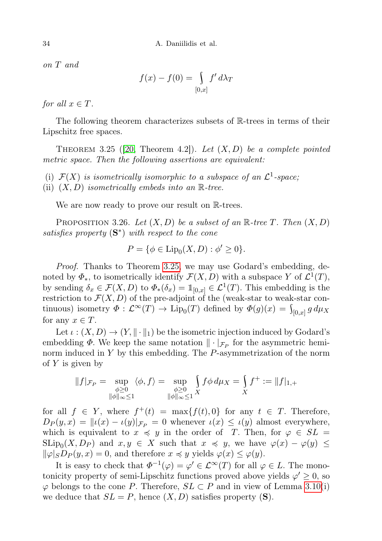on T and

$$
f(x) - f(0) = \int_{[0,x]} f' d\lambda_T
$$

for all  $x \in T$ .

The following theorem characterizes subsets of R-trees in terms of their Lipschitz free spaces.

<span id="page-33-0"></span>THEOREM 3.25 (20, Theorem 4.2). Let  $(X, D)$  be a complete pointed metric space. Then the following assertions are equivalent:

(i)  $\mathcal{F}(X)$  is isometrically isomorphic to a subspace of an  $\mathcal{L}^1$ -space,

(ii)  $(X, D)$  isometrically embeds into an  $\mathbb{R}$ -tree.

We are now ready to prove our result on  $\mathbb{R}$ -trees.

<span id="page-33-1"></span>PROPOSITION 3.26. Let  $(X, D)$  be a subset of an R-tree T. Then  $(X, D)$ satisfies property  $(S^*)$  with respect to the cone

$$
P = \{ \phi \in \text{Lip}_0(X, D) : \phi' \ge 0 \}.
$$

Proof. Thanks to Theorem [3.25,](#page-33-0) we may use Godard's embedding, denoted by  $\Phi_*$ , to isometrically identify  $\mathcal{F}(X,D)$  with a subspace Y of  $\mathcal{L}^1(T)$ , by sending  $\delta_x \in \mathcal{F}(X,D)$  to  $\Phi_*(\delta_x) = \mathbb{1}_{[0,x]} \in \mathcal{L}^1(T)$ . This embedding is the restriction to  $\mathcal{F}(X, D)$  of the pre-adjoint of the (weak-star to weak-star continuous) isometry  $\Phi : \mathcal{L}^{\infty}(T) \to \text{Lip}_0(T)$  defined by  $\Phi(g)(x) = \int_{[0,x]} g d\mu_X$ for any  $x \in T$ .

Let  $\iota : (X, D) \to (Y, \|\cdot\|_1)$  be the isometric injection induced by Godard's embedding  $\Phi$ . We keep the same notation  $\|\cdot\|_{\mathcal{F}_P}$  for the asymmetric heminorm induced in Y by this embedding. The P-asymmetrization of the norm of  $Y$  is given by

$$
||f|_{\mathcal{F}_P} = \sup_{\substack{\phi \ge 0 \\ ||\phi||_{\infty} \le 1}} \langle \phi, f \rangle = \sup_{\substack{\phi \ge 0 \\ ||\phi||_{\infty} \le 1}} \int_{X} f \phi \, d\mu_X = \int_{X} f^+ := ||f|_{1,+}
$$

for all  $f \in Y$ , where  $f^+(t) = \max\{f(t), 0\}$  for any  $t \in T$ . Therefore,  $D_P(y, x) = ||\iota(x) - \iota(y)||_{\mathcal{F}_P} = 0$  whenever  $\iota(x) \leq \iota(y)$  almost everywhere, which is equivalent to  $x \preccurlyeq y$  in the order of T. Then, for  $\varphi \in SL =$  $\text{SLip}_0(X, D_P)$  and  $x, y \in X$  such that  $x \preccurlyeq y$ , we have  $\varphi(x) - \varphi(y) \preceq$  $\|\varphi|_S D_P(y, x) = 0$ , and therefore  $x \preccurlyeq y$  yields  $\varphi(x) \leq \varphi(y)$ .

It is easy to check that  $\Phi^{-1}(\varphi) = \varphi' \in \mathcal{L}^{\infty}(T)$  for all  $\varphi \in L$ . The monotonicity property of semi-Lipschitz functions proved above yields  $\varphi' \geq 0$ , so  $\varphi$  belongs to the cone P. Therefore,  $SL \subset P$  and in view of Lemma [3.10\(](#page-26-2)i) we deduce that  $SL = P$ , hence  $(X, D)$  satisfies property  $(S)$ .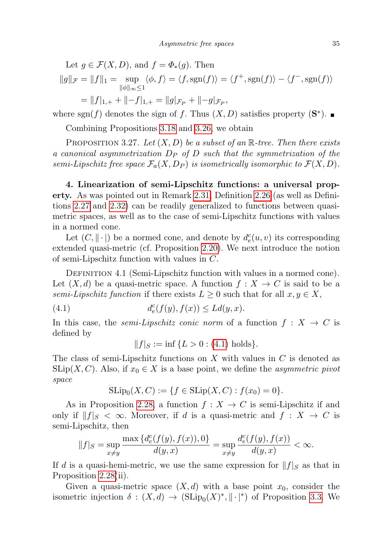Let  $g \in \mathcal{F}(X, D)$ , and  $f = \Phi_*(g)$ . Then  $||g||_{\mathcal{F}} = ||f||_1 = \text{sup}$  $\|\phi\|_{\infty}$ ≤1  $\langle \phi, f \rangle = \langle f, \text{sgn}(f) \rangle = \langle f^+, \text{sgn}(f) \rangle - \langle f^-, \text{sgn}(f) \rangle$  $= ||f|_{1,+} + ||-f|_{1,+} = ||g|_{\mathcal{F}_P} + ||-g|_{\mathcal{F}_P},$ 

where sgn(f) denotes the sign of f. Thus  $(X, D)$  satisfies property  $(\mathbf{S}^*)$ .

Combining Propositions [3.18](#page-30-1) and [3.26,](#page-33-1) we obtain

<span id="page-34-2"></span>PROPOSITION 3.27. Let  $(X, D)$  be a subset of an R-tree. Then there exists a canonical asymmetrization  $D_P$  of  $D$  such that the symmetrization of the semi-Lipschitz free space  $\mathcal{F}_a(X, D_P)$  is isometrically isomorphic to  $\mathcal{F}(X, D)$ .

<span id="page-34-0"></span>4. Linearization of semi-Lipschitz functions: a universal property. As was pointed out in Remark [2.31,](#page-15-1) Definition [2.26](#page-14-0) (as well as Definitions [2.27](#page-14-4) and [2.32\)](#page-16-2) can be readily generalized to functions between quasimetric spaces, as well as to the case of semi-Lipschitz functions with values in a normed cone.

Let  $(C, \|\cdot\|)$  be a normed cone, and denote by  $d_e^c(u, v)$  its corresponding extended quasi-metric (cf. Proposition [2.20\)](#page-12-1). We next introduce the notion of semi-Lipschitz function with values in C.

DEFINITION 4.1 (Semi-Lipschitz function with values in a normed cone). Let  $(X, d)$  be a quasi-metric space. A function  $f : X \to C$  is said to be a semi-Lipschitz function if there exists  $L \geq 0$  such that for all  $x, y \in X$ ,

(4.1) 
$$
d_e^c(f(y), f(x)) \le Ld(y, x).
$$

In this case, the *semi-Lipschitz conic norm* of a function  $f : X \to C$  is defined by

<span id="page-34-1"></span>
$$
||f||_{S} := \inf \{ L > 0 : (4.1) holds \}.
$$

The class of semi-Lipschitz functions on X with values in  $C$  is denoted as  $\text{SLip}(X, C)$ . Also, if  $x_0 \in X$  is a base point, we define the *asymmetric pivot* space

$$
SLip_0(X, C) := \{ f \in SLip(X, C) : f(x_0) = 0 \}.
$$

As in Proposition [2.28,](#page-14-3) a function  $f: X \to C$  is semi-Lipschitz if and only if  $||f||_S < \infty$ . Moreover, if d is a quasi-metric and  $f : X \to C$  is semi-Lipschitz, then

$$
||f|_S = \sup_{x \neq y} \frac{\max\left\{d^c_e(f(y), f(x)), 0\right\}}{d(y, x)} = \sup_{x \neq y} \frac{d^c_e(f(y), f(x))}{d(y, x)} < \infty.
$$

If d is a quasi-hemi-metric, we use the same expression for  $||f||_S$  as that in Proposition [2.28\(](#page-14-3)ii).

Given a quasi-metric space  $(X, d)$  with a base point  $x_0$ , consider the isometric injection  $\delta : (X, d) \to (\text{SLip}_0(X)^*, ||\cdot|^*)$  of Proposition [3.3.](#page-23-1) We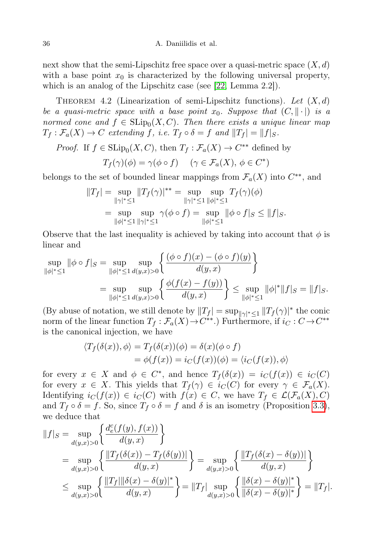next show that the semi-Lipschitz free space over a quasi-metric space  $(X, d)$ with a base point  $x_0$  is characterized by the following universal property, which is an analog of the Lipschitz case (see [\[22,](#page-47-7) Lemma 2.2]).

<span id="page-35-0"></span>THEOREM 4.2 (Linearization of semi-Lipschitz functions). Let  $(X, d)$ be a quasi-metric space with a base point  $x_0$ . Suppose that  $(C, \|\cdot\|)$  is a normed cone and  $f \in \text{SLip}_0(X, C)$ . Then there exists a unique linear map  $T_f : \mathcal{F}_a(X) \to C$  extending f, i.e.  $T_f \circ \delta = f$  and  $||T_f|| = ||f||_S$ .

*Proof.* If 
$$
f \in \text{SLip}_0(X, C)
$$
, then  $T_f : \mathcal{F}_a(X) \to C^{**}$  defined by

$$
T_f(\gamma)(\phi) = \gamma(\phi \circ f) \quad (\gamma \in \mathcal{F}_a(X), \, \phi \in C^*)
$$

belongs to the set of bounded linear mappings from  $\mathcal{F}_a(X)$  into  $C^{**}$ , and

$$
||T_f| = \sup_{||\gamma|^* \le 1} ||T_f(\gamma)|^{**} = \sup_{||\gamma|^* \le 1} \sup_{||\phi|^* \le 1} T_f(\gamma)(\phi)
$$
  
= 
$$
\sup_{||\phi|^* \le 1} \sup_{||\gamma|^* \le 1} \gamma(\phi \circ f) = \sup_{||\phi|^* \le 1} ||\phi \circ f||_S \le ||f||_S.
$$

Observe that the last inequality is achieved by taking into account that  $\phi$  is linear and

$$
\sup_{\|\phi\|^* \le 1} \|\phi \circ f|_{S} = \sup_{\|\phi\|^* \le 1} \sup_{d(y,x)>0} \left\{ \frac{(\phi \circ f)(x) - (\phi \circ f)(y)}{d(y,x)} \right\}
$$
  
= 
$$
\sup_{\|\phi\|^* \le 1} \sup_{d(y,x)>0} \left\{ \frac{\phi(f(x) - f(y))}{d(y,x)} \right\} \le \sup_{\|\phi\|^* \le 1} \|\phi\|^* \|f\|_{S} = \|f\|_{S}.
$$

(By abuse of notation, we still denote by  $||T_f| = \sup_{||\gamma||^* \leq 1} ||T_f(\gamma)||^*$  the conic norm of the linear function  $T_f : \mathcal{F}_a(X) \to C^{**}$ .) Furthermore, if  $i_C : C \to C^{**}$ is the canonical injection, we have

$$
\langle T_f(\delta(x)), \phi \rangle = T_f(\delta(x))(\phi) = \delta(x)(\phi \circ f)
$$
  
=  $\phi(f(x)) = i_C(f(x))(\phi) = \langle i_C(f(x)), \phi \rangle$ 

for every  $x \in X$  and  $\phi \in C^*$ , and hence  $T_f(\delta(x)) = i_C(f(x)) \in i_C(C)$ for every  $x \in X$ . This yields that  $T_f(\gamma) \in i_C(C)$  for every  $\gamma \in \mathcal{F}_a(X)$ . Identifying  $i_C(f(x)) \in i_C(C)$  with  $f(x) \in C$ , we have  $T_f \in \mathcal{L}(\mathcal{F}_a(X), C)$ and  $T_f \circ \delta = f$ . So, since  $T_f \circ \delta = f$  and  $\delta$  is an isometry (Proposition [3.3\)](#page-23-1), we deduce that

$$
||f|_{S} = \sup_{d(y,x)>0} \left\{ \frac{d_e^c(f(y), f(x))}{d(y,x)} \right\}
$$
  
= 
$$
\sup_{d(y,x)>0} \left\{ \frac{||T_f(\delta(x)) - T_f(\delta(y))||}{d(y,x)} \right\} = \sup_{d(y,x)>0} \left\{ \frac{||T_f(\delta(x) - \delta(y))||}{d(y,x)} \right\}
$$
  

$$
\leq \sup_{d(y,x)>0} \left\{ \frac{||T_f|||\delta(x) - \delta(y)|^*}{d(y,x)} \right\} = ||T_f|| \sup_{d(y,x)>0} \left\{ \frac{||\delta(x) - \delta(y)|^*}{||\delta(x) - \delta(y)|^*} \right\} = ||T_f||.
$$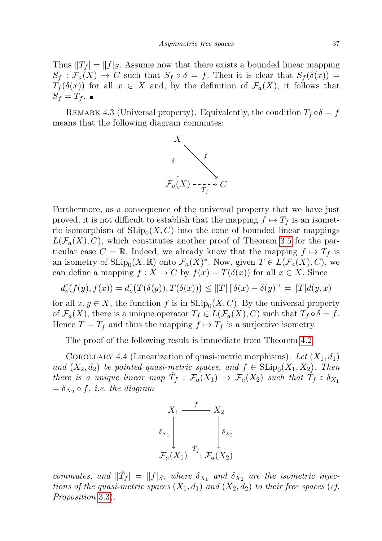Thus  $||T_f| = ||f||_S$ . Assume now that there exists a bounded linear mapping  $S_f : \mathcal{F}_a(X) \to C$  such that  $S_f \circ \delta = f$ . Then it is clear that  $S_f(\delta(x)) =$  $T_f(\delta(x))$  for all  $x \in X$  and, by the definition of  $\mathcal{F}_a(X)$ , it follows that  $S_f = T_f$ .

REMARK 4.3 (Universal property). Equivalently, the condition  $T_f \circ \delta = f$ means that the following diagram commutes:



Furthermore, as a consequence of the universal property that we have just proved, it is not difficult to establish that the mapping  $f \mapsto T_f$  is an isometric isomorphism of  $\text{SLip}_0(X, C)$  into the cone of bounded linear mappings  $L(\mathcal{F}_a(X), C)$ , which constitutes another proof of Theorem [3.5](#page-24-1) for the particular case  $C = \mathbb{R}$ . Indeed, we already know that the mapping  $f \mapsto T_f$  is an isometry of  $\text{SLip}_0(X,\mathbb{R})$  onto  $\mathcal{F}_a(X)^*$ . Now, given  $T \in L(\mathcal{F}_a(X), C)$ , we can define a mapping  $f : X \to C$  by  $f(x) = T(\delta(x))$  for all  $x \in X$ . Since

$$
d^c_e(f(y),f(x))=d^c_e\big(T(\delta(y)),T(\delta(x))\big)\leq \|T|\, \|\delta(x)-\delta(y)\|^*=\|T|d(y,x)
$$

for all  $x, y \in X$ , the function f is in  $\text{SLip}_0(X, C)$ . By the universal property of  $\mathcal{F}_a(X)$ , there is a unique operator  $T_f \in L(\mathcal{F}_a(X), C)$  such that  $T_f \circ \delta = f$ . Hence  $T = T_f$  and thus the mapping  $f \mapsto T_f$  is a surjective isometry.

The proof of the following result is immediate from Theorem [4.2.](#page-35-0)

<span id="page-36-0"></span>COROLLARY 4.4 (Linearization of quasi-metric morphisms). Let  $(X_1, d_1)$ and  $(X_2, d_2)$  be pointed quasi-metric spaces, and  $f \in \text{SLip}_0(X_1, X_2)$ . Then there is a unique linear map  $\hat{T}_f : \mathcal{F}_a(X_1) \to \mathcal{F}_a(X_2)$  such that  $\hat{T}_f \circ \delta_{X_1}$  $=\delta_{X_2} \circ f$ , *i.e.* the diagram



commutes, and  $\|\hat{T}_f\| = \|f|_S$ , where  $\delta_{X_1}$  and  $\delta_{X_2}$  are the isometric injections of the quasi-metric spaces  $(X_1, d_1)$  and  $(X_2, d_2)$  to their free spaces (cf. Proposition 3.[3\)](#page-23-1).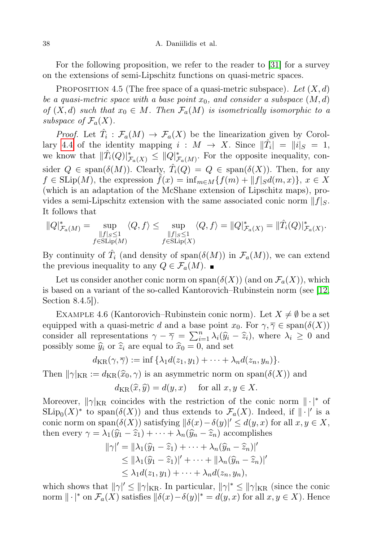For the following proposition, we refer to the reader to [\[31\]](#page-47-17) for a survey on the extensions of semi-Lipschitz functions on quasi-metric spaces.

<span id="page-37-0"></span>PROPOSITION 4.5 (The free space of a quasi-metric subspace). Let  $(X, d)$ be a quasi-metric space with a base point  $x_0$ , and consider a subspace  $(M, d)$ of  $(X, d)$  such that  $x_0 \in M$ . Then  $\mathcal{F}_a(M)$  is isometrically isomorphic to a subspace of  $\mathcal{F}_a(X)$ .

*Proof.* Let  $\hat{T}_i$ :  $\mathcal{F}_a(M) \to \mathcal{F}_a(X)$  be the linearization given by Corol-lary [4.4](#page-36-0) of the identity mapping  $i: M \to X$ . Since  $\|\hat{T}_i\| = \|i\|_S = 1$ , we know that  $\|\hat{T}_i(Q)\|_{\mathcal{F}_a(X)}^* \leq \|\hat{Q}\|_{\mathcal{F}_a(M)}^*$ . For the opposite inequality, consider  $Q \in \text{span}(\delta(M))$ . Clearly,  $\hat{T}_i(Q) = Q \in \text{span}(\delta(X))$ . Then, for any  $f \in \text{SLip}(M)$ , the expression  $\tilde{f}(x) = \inf_{m \in M} \{f(m) + ||f||_{S}d(m, x)\}, x \in X$ (which is an adaptation of the McShane extension of Lipschitz maps), provides a semi-Lipschitz extension with the same associated conic norm  $||f||_S$ . It follows that

$$
||Q|_{\mathcal{F}_a(M)}^* = \sup_{\substack{||f||_S \le 1 \\ f \in \text{SLip}(M)}} \langle Q, f \rangle \le \sup_{\substack{||f||_S \le 1 \\ f \in \text{SLip}(X)}} \langle Q, f \rangle = ||Q|_{\mathcal{F}_a(X)}^* = ||\hat{T}_i(Q)|_{\mathcal{F}_a(X)}^*.
$$

By continuity of  $\hat{T}_i$  (and density of span $(\delta(M))$  in  $\mathcal{F}_a(M)$ ), we can extend the previous inequality to any  $Q \in \mathcal{F}_a(M)$ .

Let us consider another conic norm on span $(\delta(X))$  (and on  $\mathcal{F}_a(X)$ ), which is based on a variant of the so-called Kantorovich–Rubinstein norm (see [\[12,](#page-46-18) Section 8.4.5]).

EXAMPLE 4.6 (Kantorovich–Rubinstein conic norm). Let  $X \neq \emptyset$  be a set equipped with a quasi-metric d and a base point  $x_0$ . For  $\gamma, \overline{\gamma} \in \text{span}(\delta(X))$ consider all representations  $\gamma - \overline{\gamma} = \sum_{i=1}^{n} \lambda_i (\hat{y}_i - \hat{z}_i)$ , where  $\lambda_i \geq 0$  and possibly some  $\hat{y}_i$  or  $\hat{z}_i$  are equal to  $\hat{x}_i = 0$  and set possibly some  $\hat{y}_i$  or  $\hat{z}_i$  are equal to  $\hat{x}_0 = 0$ , and set

$$
d_{\mathrm{KR}}(\gamma, \overline{\gamma}) := \inf \{ \lambda_1 d(z_1, y_1) + \cdots + \lambda_n d(z_n, y_n) \}.
$$

Then  $\|\gamma\|_{\text{KR}} := d_{\text{KR}}(\hat{x}_0, \gamma)$  is an asymmetric norm on span $(\delta(X))$  and

$$
d_{\text{KR}}(\widehat{x}, \widehat{y}) = d(y, x) \quad \text{ for all } x, y \in X.
$$

Moreover,  $\|\gamma\|_{KR}$  coincides with the restriction of the conic norm  $\|\cdot\|^*$  of  $\text{SLip}_0(X)^*$  to span $(\delta(X))$  and thus extends to  $\mathcal{F}_a(X)$ . Indeed, if  $\|\cdot\|'$  is a conic norm on span $(\delta(X))$  satisfying  $\|\delta(x)-\delta(y)\|' \le d(y,x)$  for all  $x, y \in X$ , then every  $\gamma = \lambda_1(\widehat{y}_1 - \widehat{z}_1) + \cdots + \lambda_n(\widehat{y}_n - \widehat{z}_n)$  accomplishes

$$
\|\gamma|' = \|\lambda_1(\widehat{y}_1 - \widehat{z}_1) + \cdots + \lambda_n(\widehat{y}_n - \widehat{z}_n)\|'
$$
  
\n
$$
\leq \|\lambda_1(\widehat{y}_1 - \widehat{z}_1)\|' + \cdots + \|\lambda_n(\widehat{y}_n - \widehat{z}_n)\|'
$$
  
\n
$$
\leq \lambda_1 d(z_1, y_1) + \cdots + \lambda_n d(z_n, y_n),
$$

which shows that  $\|\gamma\|' \leq \|\gamma\|_{KR}$ . In particular,  $\|\gamma\|^* \leq \|\gamma\|_{KR}$  (since the conic norm  $\|\cdot|^*$  on  $\mathcal{F}_a(X)$  satisfies  $\|\delta(x)-\delta(y)\|^* = d(y,x)$  for all  $x, y \in X$ ). Hence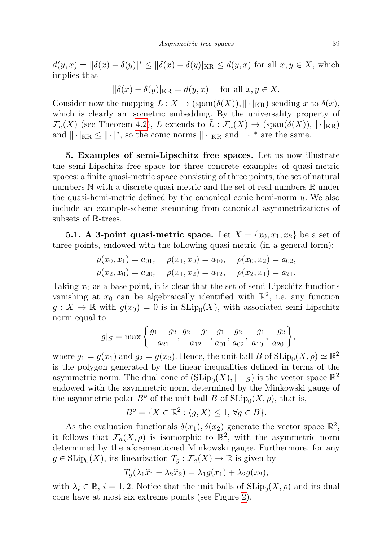$d(y,x) = \|\delta(x) - \delta(y)\|^* \le \|\delta(x) - \delta(y)\|_{\text{KR}} \le d(y,x)$  for all  $x, y \in X$ , which implies that

$$
\|\delta(x) - \delta(y)|_{\text{KR}} = d(y, x) \quad \text{ for all } x, y \in X.
$$

Consider now the mapping  $L: X \to (\text{span}(\delta(X)), ||\cdot||_{\text{KR}})$  sending x to  $\delta(x)$ , which is clearly an isometric embedding. By the universality property of  $\mathcal{F}_a(X)$  (see Theorem [4.2\)](#page-35-0), L extends to  $L : \mathcal{F}_a(X) \to (\text{span}(\delta(X)), ||\cdot||_{KR})$ and  $\|\cdot|_{KR} \leq \|\cdot|^*$ , so the conic norms  $\|\cdot|_{KR}$  and  $\|\cdot|^*$  are the same.

<span id="page-38-0"></span>5. Examples of semi-Lipschitz free spaces. Let us now illustrate the semi-Lipschitz free space for three concrete examples of quasi-metric spaces: a finite quasi-metric space consisting of three points, the set of natural numbers  $\mathbb N$  with a discrete quasi-metric and the set of real numbers  $\mathbb R$  under the quasi-hemi-metric defined by the canonical conic hemi-norm  $u$ . We also include an example-scheme stemming from canonical asymmetrizations of subsets of R-trees.

<span id="page-38-1"></span>**5.1.** A 3-point quasi-metric space. Let  $X = \{x_0, x_1, x_2\}$  be a set of three points, endowed with the following quasi-metric (in a general form):

$$
\rho(x_0, x_1) = a_{01}, \quad \rho(x_1, x_0) = a_{10}, \quad \rho(x_0, x_2) = a_{02},
$$
  
\n $\rho(x_2, x_0) = a_{20}, \quad \rho(x_1, x_2) = a_{12}, \quad \rho(x_2, x_1) = a_{21}.$ 

Taking  $x_0$  as a base point, it is clear that the set of semi-Lipschitz functions vanishing at  $x_0$  can be algebraically identified with  $\mathbb{R}^2$ , i.e. any function  $g: X \to \mathbb{R}$  with  $g(x_0) = 0$  is in  $\text{SLip}_0(X)$ , with associated semi-Lipschitz norm equal to

$$
||g||_{S} = \max\left\{\frac{g_1 - g_2}{a_{21}}, \frac{g_2 - g_1}{a_{12}}, \frac{g_1}{a_{01}}, \frac{g_2}{a_{02}}, \frac{-g_1}{a_{10}}, \frac{-g_2}{a_{20}}\right\},\,
$$

where  $g_1 = g(x_1)$  and  $g_2 = g(x_2)$ . Hence, the unit ball B of  $\text{SLip}_0(X, \rho) \simeq \mathbb{R}^2$ is the polygon generated by the linear inequalities defined in terms of the asymmetric norm. The dual cone of  $(SLip_0(X), \|\cdot\|_S)$  is the vector space  $\mathbb{R}^2$ endowed with the asymmetric norm determined by the Minkowski gauge of the asymmetric polar  $B^o$  of the unit ball B of  $\text{SLip}_0(X,\rho)$ , that is,

$$
B^o = \{ X \in \mathbb{R}^2 : \langle g, X \rangle \le 1, \forall g \in B \}.
$$

As the evaluation functionals  $\delta(x_1), \delta(x_2)$  generate the vector space  $\mathbb{R}^2$ , it follows that  $\mathcal{F}_a(X,\rho)$  is isomorphic to  $\mathbb{R}^2$ , with the asymmetric norm determined by the aforementioned Minkowski gauge. Furthermore, for any  $g \in \text{SLip}_0(X)$ , its linearization  $T_g : \mathcal{F}_a(X) \to \mathbb{R}$  is given by

$$
T_g(\lambda_1 \hat{x}_1 + \lambda_2 \hat{x}_2) = \lambda_1 g(x_1) + \lambda_2 g(x_2),
$$

with  $\lambda_i \in \mathbb{R}$ ,  $i = 1, 2$ . Notice that the unit balls of  $\text{SLip}_0(X, \rho)$  and its dual cone have at most six extreme points (see Figure [2\)](#page-38-1).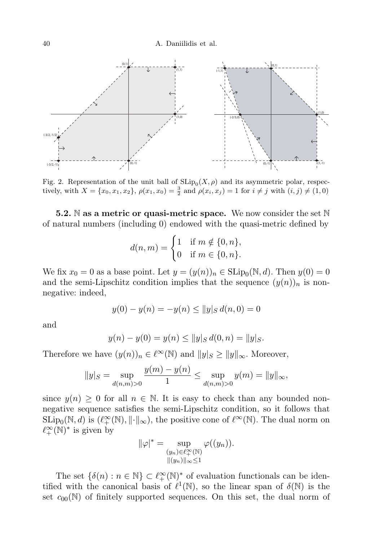

Fig. 2. Representation of the unit ball of  $\text{SLip}_0(X,\rho)$  and its asymmetric polar, respectively, with  $X = \{x_0, x_1, x_2\}$ ,  $\rho(x_1, x_0) = \frac{3}{2}$  and  $\rho(x_i, x_j) = 1$  for  $i \neq j$  with  $(i, j) \neq (1, 0)$ 

<span id="page-39-0"></span>**5.2.** N as a metric or quasi-metric space. We now consider the set N of natural numbers (including 0) endowed with the quasi-metric defined by

$$
d(n, m) = \begin{cases} 1 & \text{if } m \notin \{0, n\}, \\ 0 & \text{if } m \in \{0, n\}. \end{cases}
$$

We fix  $x_0 = 0$  as a base point. Let  $y = (y(n))_n \in \text{SLip}_0(\mathbb{N}, d)$ . Then  $y(0) = 0$ and the semi-Lipschitz condition implies that the sequence  $(y(n))_n$  is nonnegative: indeed,

$$
y(0) - y(n) = -y(n) \le ||y||_{S} d(n, 0) = 0
$$

and

$$
y(n) - y(0) = y(n) \le ||y||_{S} d(0, n) = ||y||_{S}.
$$

Therefore we have  $(y(n))_n \in \ell^{\infty}(\mathbb{N})$  and  $||y||_{S} \ge ||y||_{\infty}$ . Moreover,

$$
||y||_{S} = \sup_{d(n,m) > 0} \frac{y(m) - y(n)}{1} \le \sup_{d(n,m) > 0} y(m) = ||y||_{\infty},
$$

since  $y(n) \geq 0$  for all  $n \in \mathbb{N}$ . It is easy to check than any bounded nonnegative sequence satisfies the semi-Lipschitz condition, so it follows that  $\text{SLip}_0(\mathbb{N}, d)$  is  $(\ell^{\infty}_+(\mathbb{N}), ||\cdot||_{\infty})$ , the positive cone of  $\ell^{\infty}(\mathbb{N})$ . The dual norm on  $\ell^{\infty}_+(\mathbb{N})^*$  is given by

$$
\|\varphi|^* = \sup_{\substack{(y_n) \in \ell_+^{\infty}(\mathbb{N}) \\ \|(y_n)\|_{\infty} \le 1}} \varphi((y_n)).
$$

The set  $\{\delta(n) : n \in \mathbb{N}\}\subset \ell^{\infty}_+(\mathbb{N})^*$  of evaluation functionals can be identified with the canonical basis of  $\ell^1(\mathbb{N})$ , so the linear span of  $\delta(\mathbb{N})$  is the set  $c_{00}(\mathbb{N})$  of finitely supported sequences. On this set, the dual norm of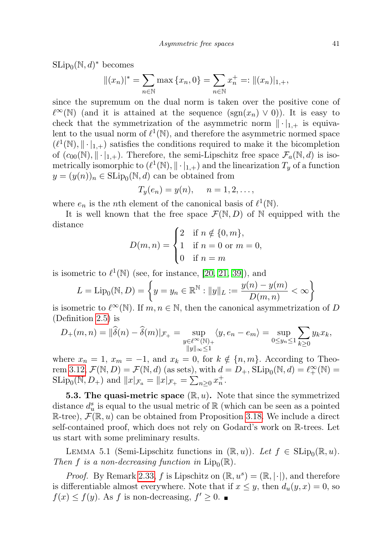$\text{SLip}_0(\mathbb{N}, d)^*$  becomes

$$
||(x_n)|^* = \sum_{n \in \mathbb{N}} \max \{x_n, 0\} = \sum_{n \in \mathbb{N}} x_n^+ =: ||(x_n)|_{1,+},
$$

since the supremum on the dual norm is taken over the positive cone of  $\ell^{\infty}(\mathbb{N})$  (and it is attained at the sequence (sgn(x<sub>n</sub>) ∨ 0)). It is easy to check that the symmetrization of the asymmetric norm  $\|\cdot\|_{1,+}$  is equivalent to the usual norm of  $\ell^1(\mathbb{N})$ , and therefore the asymmetric normed space  $(\ell^1(\mathbb{N}), \|\cdot\|_{1,+})$  satisfies the conditions required to make it the bicompletion of  $(c_{00}(\mathbb{N}), \|\cdot\|_{1,+})$ . Therefore, the semi-Lipschitz free space  $\mathcal{F}_a(\mathbb{N}, d)$  is isometrically isomorphic to  $(\ell^1(\mathbb{N}), \|\cdot|_{1,+})$  and the linearization  $T_y$  of a function  $y = (y(n))_n \in \text{SLip}_0(\mathbb{N}, d)$  can be obtained from

$$
T_y(e_n)=y(n), \quad n=1,2,\ldots,
$$

where  $e_n$  is the *n*th element of the canonical basis of  $\ell^1(\mathbb{N})$ .

It is well known that the free space  $\mathcal{F}(\mathbb{N}, D)$  of  $\mathbb N$  equipped with the distance

$$
D(m, n) = \begin{cases} 2 & \text{if } n \notin \{0, m\}, \\ 1 & \text{if } n = 0 \text{ or } m = 0, \\ 0 & \text{if } n = m \end{cases}
$$

is isometric to  $\ell^1(\mathbb{N})$  (see, for instance, [\[20,](#page-47-8) [21,](#page-47-10) [39\]](#page-47-0)), and

$$
L = \text{Lip}_{0}(\mathbb{N}, D) = \left\{ y = y_{n} \in \mathbb{R}^{\mathbb{N}} : ||y||_{L} := \frac{y(n) - y(m)}{D(m, n)} < \infty \right\}
$$

is isometric to  $\ell^{\infty}(\mathbb{N})$ . If  $m, n \in \mathbb{N}$ , then the canonical asymmetrization of D (Definition [2.5\)](#page-6-0) is

$$
D_{+}(m,n) = \|\widehat{\delta}(n) - \widehat{\delta}(m)|_{\mathcal{F}_{+}} = \sup_{\substack{y \in \ell^{\infty}(\mathbb{N})_{+} \\ \|y\|_{\infty} \le 1}} \langle y, e_n - e_m \rangle = \sup_{0 \le y_n \le 1} \sum_{k \ge 0} y_k x_k,
$$

where  $x_n = 1$ ,  $x_m = -1$ , and  $x_k = 0$ , for  $k \notin \{n, m\}$ . According to Theo-rem [3.12,](#page-28-0)  $\mathcal{F}(\mathbb{N}, D) = \mathcal{F}(\mathbb{N}, d)$  (as sets), with  $d = D_+$ ,  $\text{SLip}_0(\mathbb{N}, d) = \ell_+^{\infty}(\mathbb{N}) =$ SLip<sub>0</sub>(N, D<sub>+</sub>) and  $||x|_{\mathcal{F}_a} = ||x|_{\mathcal{F}_+} = \sum_{n\geq 0} x_n^+$ .

<span id="page-40-0"></span>**5.3. The quasi-metric space**  $(\mathbb{R}, u)$ . Note that since the symmetrized distance  $d_u^s$  is equal to the usual metric of  $\mathbb R$  (which can be seen as a pointed  $\mathbb{R}$ -tree),  $\mathcal{F}(\mathbb{R}, u)$  can be obtained from Proposition [3.18.](#page-30-1) We include a direct self-contained proof, which does not rely on Godard's work on R-trees. Let us start with some preliminary results.

LEMMA 5.1 (Semi-Lipschitz functions in  $(\mathbb{R}, u)$ ). Let  $f \in \text{SLip}_0(\mathbb{R}, u)$ . Then f is a non-decreasing function in  $\text{Lip}_0(\mathbb{R})$ .

*Proof.* By Remark [2.33,](#page-16-0) f is Lipschitz on  $(\mathbb{R}, u^s) = (\mathbb{R}, |\cdot|)$ , and therefore is differentiable almost everywhere. Note that if  $x \leq y$ , then  $d_u(y, x) = 0$ , so  $f(x) \leq f(y)$ . As f is non-decreasing,  $f' \geq 0$ .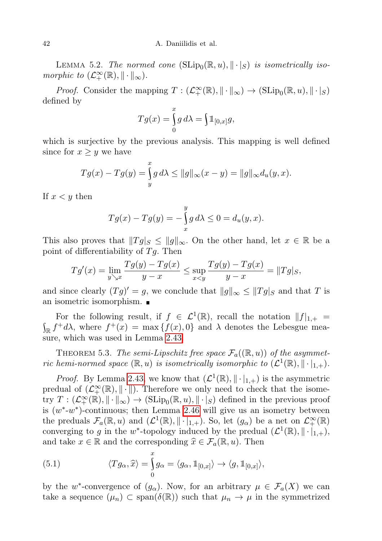42 A. Daniilidis et al.

<span id="page-41-0"></span>LEMMA 5.2. The normed cone  $(SLip_0(\mathbb{R}, u), ||\cdot|_S)$  is isometrically isomorphic to  $(\mathcal{L}_+^{\infty}(\mathbb{R}), \|\cdot\|_{\infty})$ .

*Proof.* Consider the mapping  $T : (\mathcal{L}_+^{\infty}(\mathbb{R}), || \cdot ||_{\infty}) \to (\mathrm{SLip}_0(\mathbb{R}, u), || \cdot ||_S)$ defined by

$$
Tg(x) = \int_{0}^{x} g d\lambda = \int \mathbb{1}_{[0,x]} g,
$$

which is surjective by the previous analysis. This mapping is well defined since for  $x \geq y$  we have

$$
Tg(x) - Tg(y) = \int_{y}^{x} g d\lambda \le ||g||_{\infty}(x - y) = ||g||_{\infty} d_{u}(y, x).
$$

If  $x < y$  then

$$
Tg(x) - Tg(y) = -\int_{x}^{y} g \, d\lambda \le 0 = d_u(y, x).
$$

This also proves that  $||Tg||_{\infty} \leq ||g||_{\infty}$ . On the other hand, let  $x \in \mathbb{R}$  be a point of differentiability of  $Tg$ . Then

$$
Tg'(x) = \lim_{y \searrow x} \frac{Tg(y) - Tg(x)}{y - x} \le \sup_{x < y} \frac{Tg(y) - Tg(x)}{y - x} = ||Tg||_S,
$$

and since clearly  $(Tg)' = g$ , we conclude that  $||g||_{\infty} \leq ||Tg||_{S}$  and that T is an isometric isomorphism.

For the following result, if  $f \in \mathcal{L}^1(\mathbb{R})$ , recall the notation  $||f||_{1,+} =$ <br> $\int_{\mathbb{R}} f^+ d\lambda$ , where  $f^+(x) = \max \{f(x), 0\}$  and  $\lambda$  denotes the Lebesgue mea- $\mathbb{R} f^+ d\lambda$ , where  $f^+(x) = \max \{f(x), 0\}$  and  $\lambda$  denotes the Lebesgue measure, which was used in Lemma [2.43.](#page-19-1)

THEOREM 5.3. The semi-Lipschitz free space  $\mathcal{F}_a((\mathbb{R},u))$  of the asymmetric hemi-normed space  $(\mathbb{R}, u)$  is isometrically isomorphic to  $(\mathcal{L}^1(\mathbb{R}), || \cdot |_{1,+}).$ 

*Proof.* By Lemma [2.43,](#page-19-1) we know that  $(\mathcal{L}^1(\mathbb{R}), \|\cdot\|_{1,+})$  is the asymmetric predual of  $(\mathcal{L}^{\infty}_+(\mathbb{R}), \|\cdot\|)$ . Therefore we only need to check that the isometry  $T: (\mathcal{L}^{\infty}_+(\mathbb{R}), \|\cdot\|_{\infty}) \to (\mathrm{SLip}_0(\mathbb{R}, u), \|\cdot\|_{S})$  defined in the previous proof is  $(w^*$ - $w^*)$ -continuous; then Lemma [2.46](#page-21-1) will give us an isometry between the preduals  $\mathcal{F}_a(\mathbb{R},u)$  and  $(\mathcal{L}^1(\mathbb{R}),\|\cdot\|_{1,+})$ . So, let  $(g_\alpha)$  be a net on  $\mathcal{L}^{\infty}_+(\mathbb{R})$ converging to g in the w<sup>\*</sup>-topology induced by the predual  $(\mathcal{L}^1(\mathbb{R}), \|\cdot\|_{1,+}),$ and take  $x \in \mathbb{R}$  and the corresponding  $\widehat{x} \in \mathcal{F}_a(\mathbb{R}, u)$ . Then

<span id="page-41-1"></span>(5.1) 
$$
\langle Tg_{\alpha}, \widehat{x} \rangle = \int_{0}^{x} g_{\alpha} = \langle g_{\alpha}, \mathbb{1}_{[0,x]} \rangle \to \langle g, \mathbb{1}_{[0,x]} \rangle,
$$

by the w<sup>\*</sup>-convergence of  $(g_{\alpha})$ . Now, for an arbitrary  $\mu \in \mathcal{F}_a(X)$  we can take a sequence  $(\mu_n) \subset \text{span}(\delta(\mathbb{R}))$  such that  $\mu_n \to \mu$  in the symmetrized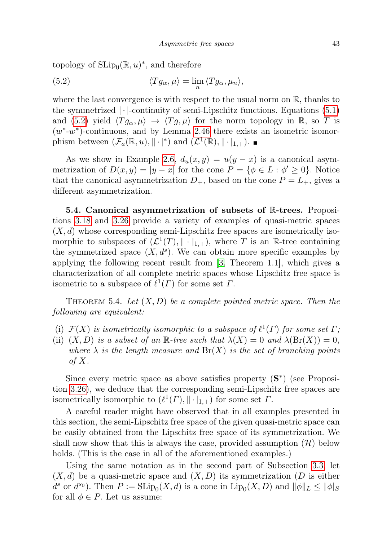<span id="page-42-1"></span>topology of  $\text{SLip}_0(\mathbb{R}, u)^*$ , and therefore

(5.2) 
$$
\langle Tg_{\alpha}, \mu \rangle = \lim_{n} \langle Tg_{\alpha}, \mu_n \rangle,
$$

where the last convergence is with respect to the usual norm on  $\mathbb{R}$ , thanks to the symmetrized  $|\cdot|$ -continuity of semi-Lipschitz functions. Equations [\(5.1\)](#page-41-1) and [\(5.2\)](#page-42-1) yield  $\langle T g_\alpha, \mu \rangle \to \langle T g, \mu \rangle$  for the norm topology in R, so T is  $(w^*$ - $w^*)$ -continuous, and by Lemma [2.46](#page-21-1) there exists an isometric isomorphism between  $(\mathcal{F}_a(\mathbb{R}, u), \| \cdot |^*)$  and  $(\mathcal{L}^1(\mathbb{R}), \| \cdot |_{1,+}).$ 

As we show in Example [2.6,](#page-7-2)  $d_u(x, y) = u(y - x)$  is a canonical asymmetrization of  $D(x, y) = |y - x|$  for the cone  $P = {\phi \in L : \phi' \ge 0}$ . Notice that the canonical asymmetrization  $D_{+}$ , based on the cone  $P = L_{+}$ , gives a different asymmetrization.

<span id="page-42-0"></span>5.4. Canonical asymmetrization of subsets of R-trees. Propositions [3.18](#page-30-1) and [3.26](#page-33-1) provide a variety of examples of quasi-metric spaces  $(X, d)$  whose corresponding semi-Lipschitz free spaces are isometrically isomorphic to subspaces of  $(\mathcal{L}^1(T), || \cdot |_{1,+})$ , where T is an R-tree containing the symmetrized space  $(X, d^s)$ . We can obtain more specific examples by applying the following recent result from [\[3,](#page-46-3) Theorem 1.1], which gives a characterization of all complete metric spaces whose Lipschitz free space is isometric to a subspace of  $\ell^1(\Gamma)$  for some set  $\Gamma$ .

THEOREM 5.4. Let  $(X, D)$  be a complete pointed metric space. Then the following are equivalent:

- (i)  $\mathcal{F}(X)$  is isometrically isomorphic to a subspace of  $\ell^1(\Gamma)$  for some set  $\Gamma$ ;
- (ii)  $(X, D)$  is a subset of an R-tree such that  $\lambda(X) = 0$  and  $\lambda(\text{Br}(X)) = 0$ , where  $\lambda$  is the length measure and  $Br(X)$  is the set of branching points of  $X$ .

Since every metric space as above satisfies property  $(S^*)$  (see Proposition [3.26\)](#page-33-1), we deduce that the corresponding semi-Lipschitz free spaces are isometrically isomorphic to  $(\ell^1(\Gamma), \|\cdot\|_{1,+})$  for some set  $\Gamma$ .

A careful reader might have observed that in all examples presented in this section, the semi-Lipschitz free space of the given quasi-metric space can be easily obtained from the Lipschitz free space of its symmetrization. We shall now show that this is always the case, provided assumption  $(\mathcal{H})$  below holds. (This is the case in all of the aforementioned examples.)

Using the same notation as in the second part of Subsection [3.3,](#page-26-0) let  $(X, d)$  be a quasi-metric space and  $(X, D)$  its symmetrization  $(D$  is either  $d^s$  or  $d^{s_0}$ ). Then  $P := \text{SLip}_0(X, d)$  is a cone in  $\text{Lip}_0(X, D)$  and  $||\phi||_L \le ||\phi||_S$ for all  $\phi \in P$ . Let us assume: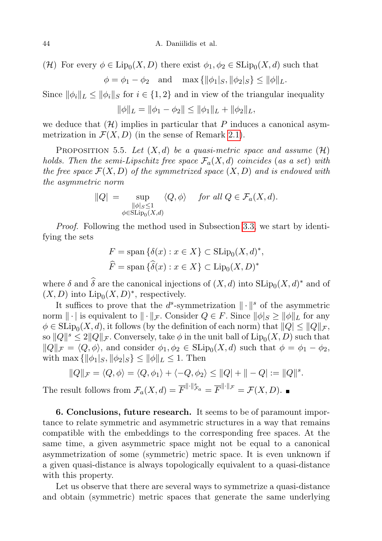(H) For every  $\phi \in \text{Lip}_0(X, D)$  there exist  $\phi_1, \phi_2 \in \text{SLip}_0(X, d)$  such that  $\phi = \phi_1 - \phi_2$  and  $\max{\{\|\phi_1|_S, \|\phi_2|_S\}} \le \|\phi\|_L$ .

Since  $\|\phi_i\|_{L} \le \|\phi_i\|_{S}$  for  $i \in \{1, 2\}$  and in view of the triangular inequality

 $\|\phi\|_L = \|\phi_1 - \phi_2\| \le \|\phi_1\|_L + \|\phi_2\|_L,$ 

we deduce that  $(H)$  implies in particular that P induces a canonical asymmetrization in  $\mathcal{F}(X,D)$  (in the sense of Remark [2.1\)](#page-4-3).

PROPOSITION 5.5. Let  $(X, d)$  be a quasi-metric space and assume  $(\mathcal{H})$ holds. Then the semi-Lipschitz free space  $\mathcal{F}_a(X, d)$  coincides (as a set) with the free space  $\mathcal{F}(X,D)$  of the symmetrized space  $(X,D)$  and is endowed with the asymmetric norm

$$
||Q| = \sup_{\substack{||\phi|_S \le 1 \\ \phi \in \text{SLip}_0(X,d)}} \langle Q, \phi \rangle \quad \text{for all } Q \in \mathcal{F}_a(X,d).
$$

Proof. Following the method used in Subsection [3.3,](#page-26-0) we start by identifying the sets

$$
F = \text{span}\{\delta(x) : x \in X\} \subset \text{SLip}_0(X, d)^*,
$$
  

$$
\widehat{F} = \text{span}\{\widehat{\delta}(x) : x \in X\} \subset \text{Lip}_0(X, D)^*
$$

where  $\delta$  and  $\widehat{\delta}$  are the canonical injections of  $(X, d)$  into  $SLip_0(X, d)^*$  and of  $(X, D)$  into  $\text{Lip}_0(X, D)^*$ , respectively.

It suffices to prove that the  $d^s$ -symmetrization  $\|\cdot\|^s$  of the asymmetric norm  $\|\cdot\|$  is equivalent to  $\|\cdot\|_{\mathcal{F}}$ . Consider  $Q \in F$ . Since  $\|\phi\|_{S} \ge \|\phi\|_{L}$  for any  $\phi \in \mathrm{SLip}_0(X,d)$ , it follows (by the definition of each norm) that  $||Q| \le ||Q||_{\mathcal{F}},$ so  $||Q||^s \leq 2||Q||_{\mathcal{F}}$ . Conversely, take  $\phi$  in the unit ball of  $\text{Lip}_0(X, D)$  such that  $||Q||_{\mathcal{F}} = \langle Q, \phi \rangle$ , and consider  $\phi_1, \phi_2 \in \text{SLip}_0(X, d)$  such that  $\phi = \phi_1 - \phi_2$ , with max  $\{\|\phi_1|_S, \|\phi_2|_S\} \le \|\phi\|_L \le 1$ . Then

$$
||Q||_{\mathcal{F}} = \langle Q, \phi \rangle = \langle Q, \phi_1 \rangle + \langle -Q, \phi_2 \rangle \le ||Q| + ||-Q| := ||Q||^s.
$$

The result follows from  $\mathcal{F}_a(X,d) = \overline{F}^{\|\cdot\|_{\mathcal{F}_a}} = \overline{F}^{\|\cdot\|_{\mathcal{F}}} = \mathcal{F}(X,D).$ 

<span id="page-43-0"></span>6. Conclusions, future research. It seems to be of paramount importance to relate symmetric and asymmetric structures in a way that remains compatible with the embeddings to the corresponding free spaces. At the same time, a given asymmetric space might not be equal to a canonical asymmetrization of some (symmetric) metric space. It is even unknown if a given quasi-distance is always topologically equivalent to a quasi-distance with this property.

Let us observe that there are several ways to symmetrize a quasi-distance and obtain (symmetric) metric spaces that generate the same underlying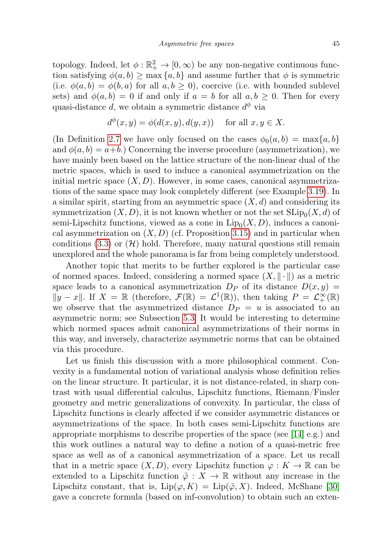topology. Indeed, let  $\phi : \mathbb{R}_+^2 \to [0, \infty)$  be any non-negative continuous function satisfying  $\phi(a, b) \ge \max\{a, b\}$  and assume further that  $\phi$  is symmetric (i.e.  $\phi(a, b) = \phi(b, a)$  for all  $a, b \ge 0$ ), coercive (i.e. with bounded sublevel sets) and  $\phi(a, b) = 0$  if and only if  $a = b$  for all  $a, b \geq 0$ . Then for every quasi-distance d, we obtain a symmetric distance  $d^{\phi}$  via

$$
d^{\phi}(x, y) = \phi(d(x, y), d(y, x)) \quad \text{ for all } x, y \in X.
$$

(In Definition [2.7](#page-7-3) we have only focused on the cases  $\phi_0(a, b) = \max\{a, b\}$ and  $\phi(a, b) = a+b$ .) Concerning the inverse procedure (asymmetrization), we have mainly been based on the lattice structure of the non-linear dual of the metric spaces, which is used to induce a canonical asymmetrization on the initial metric space  $(X, D)$ . However, in some cases, canonical asymmetrizations of the same space may look completely different (see Example [3.19\)](#page-30-2). In a similar spirit, starting from an asymmetric space  $(X, d)$  and considering its symmetrization  $(X, D)$ , it is not known whether or not the set  $\text{SLip}_0(X, d)$  of semi-Lipschitz functions, viewed as a cone in  $\text{Lip}_0(X, D)$ , induces a canonical asymmetrization on  $(X, D)$  (cf. Proposition [3.15\)](#page-29-1) and in particular when conditions [\(3.3\)](#page-28-2) or  $(\mathcal{H})$  hold. Therefore, many natural questions still remain unexplored and the whole panorama is far from being completely understood.

Another topic that merits to be further explored is the particular case of normed spaces. Indeed, considering a normed space  $(X, \|\cdot\|)$  as a metric space leads to a canonical asymmetrization  $D_P$  of its distance  $D(x, y) =$  $||y - x||$ . If  $X = \mathbb{R}$  (therefore,  $\mathcal{F}(\mathbb{R}) = \mathcal{L}^1(\mathbb{R})$ ), then taking  $P = \mathcal{L}^{\infty}_+(\mathbb{R})$ we observe that the asymmetrized distance  $D_P = u$  is associated to an asymmetric norm; see Subsection [5.3.](#page-40-0) It would be interesting to determine which normed spaces admit canonical asymmetrizations of their norms in this way, and inversely, characterize asymmetric norms that can be obtained via this procedure.

Let us finish this discussion with a more philosophical comment. Convexity is a fundamental notion of variational analysis whose definition relies on the linear structure. It particular, it is not distance-related, in sharp contrast with usual differential calculus, Lipschitz functions, Riemann/Finsler geometry and metric generalizations of convexity. In particular, the class of Lipschitz functions is clearly affected if we consider asymmetric distances or asymmetrizations of the space. In both cases semi-Lipschitz functions are appropriate morphisms to describe properties of the space (see [\[14\]](#page-46-9) e.g.) and this work outlines a natural way to define a notion of a quasi-metric free space as well as of a canonical asymmetrization of a space. Let us recall that in a metric space  $(X, D)$ , every Lipschitz function  $\varphi : K \to \mathbb{R}$  can be extended to a Lipschitz function  $\tilde{\varphi}: X \to \mathbb{R}$  without any increase in the Lipschitz constant, that is,  $\text{Lip}(\varphi, K) = \text{Lip}(\tilde{\varphi}, X)$ . Indeed, McShane [\[30\]](#page-47-18) gave a concrete formula (based on inf-convolution) to obtain such an exten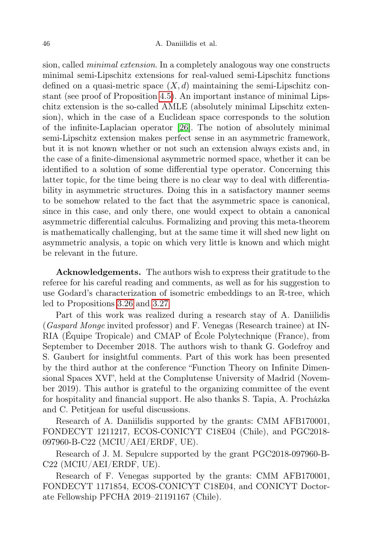sion, called minimal extension. In a completely analogous way one constructs minimal semi-Lipschitz extensions for real-valued semi-Lipschitz functions defined on a quasi-metric space  $(X, d)$  maintaining the semi-Lipschitz constant (see proof of Proposition [4.5\)](#page-37-0). An important instance of minimal Lipschitz extension is the so-called AMLE (absolutely minimal Lipschitz extension), which in the case of a Euclidean space corresponds to the solution of the infinite-Laplacian operator [\[26\]](#page-47-19). The notion of absolutely minimal semi-Lipschitz extension makes perfect sense in an asymmetric framework, but it is not known whether or not such an extension always exists and, in the case of a finite-dimensional asymmetric normed space, whether it can be identified to a solution of some differential type operator. Concerning this latter topic, for the time being there is no clear way to deal with differentiability in asymmetric structures. Doing this in a satisfactory manner seems to be somehow related to the fact that the asymmetric space is canonical, since in this case, and only there, one would expect to obtain a canonical asymmetric differential calculus. Formalizing and proving this meta-theorem is mathematically challenging, but at the same time it will shed new light on asymmetric analysis, a topic on which very little is known and which might be relevant in the future.

Acknowledgements. The authors wish to express their gratitude to the referee for his careful reading and comments, as well as for his suggestion to use Godard's characterization of isometric embeddings to an R-tree, which led to Propositions [3.26](#page-33-1) and [3.27.](#page-34-2)

Part of this work was realized during a research stay of A. Daniilidis (Gaspard Monge invited professor) and F. Venegas (Research trainee) at IN-RIA (Équipe Tropicale) and CMAP of École Polytechnique (France), from September to December 2018. The authors wish to thank G. Godefroy and S. Gaubert for insightful comments. Part of this work has been presented by the third author at the conference "Function Theory on Infinite Dimensional Spaces XVI", held at the Complutense University of Madrid (November 2019). This author is grateful to the organizing committee of the event for hospitality and financial support. He also thanks S. Tapia, A. Procházka and C. Petitjean for useful discussions.

Research of A. Daniilidis supported by the grants: CMM AFB170001, FONDECYT 1211217, ECOS-CONICYT C18E04 (Chile), and PGC2018- 097960-B-C22 (MCIU/AEI/ERDF, UE).

Research of J. M. Sepulcre supported by the grant PGC2018-097960-B-C22 (MCIU/AEI/ERDF, UE).

Research of F. Venegas supported by the grants: CMM AFB170001, FONDECYT 1171854, ECOS-CONICYT C18E04, and CONICYT Doctorate Fellowship PFCHA 2019–21191167 (Chile).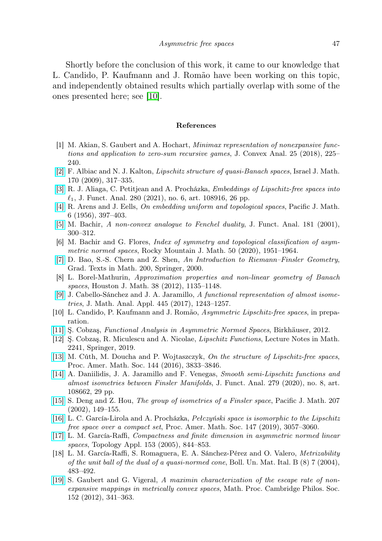Shortly before the conclusion of this work, it came to our knowledge that L. Candido, P. Kaufmann and J. Romão have been working on this topic, and independently obtained results which partially overlap with some of the ones presented here; see [\[10\]](#page-46-19).

#### <span id="page-46-0"></span>References

- <span id="page-46-12"></span>[1] M. Akian, S. Gaubert and A. Hochart, Minimax representation of nonexpansive functions and application to zero-sum recursive games, J. Convex Anal. 25 (2018), 225– 240.
- <span id="page-46-2"></span>[\[2\]](http://dx.doi.org/10.1007/s11856-009-0031-z) F. Albiac and N. J. Kalton, Lipschitz structure of quasi-Banach spaces, Israel J. Math. 170 (2009), 317–335.
- <span id="page-46-3"></span>[\[3\]](http://dx.doi.org/10.1016/j.jfa.2020.108916) R. J. Aliaga, C. Petitjean and A. Procházka, Embeddings of Lipschitz-free spaces into  $\ell_1$ , J. Funct. Anal. 280 (2021), no. 6, art. 108916, 26 pp.
- <span id="page-46-1"></span>[\[4\]](http://dx.doi.org/10.2140/pjm.1956.6.397) R. Arens and J. Eells, On embedding uniform and topological spaces, Pacific J. Math. 6 (1956), 397–403.
- <span id="page-46-7"></span>[\[5\]](http://dx.doi.org/10.1006/jfan.2000.3701) M. Bachir, A non-convex analogue to Fenchel duality, J. Funct. Anal. 181 (2001), 300–312.
- <span id="page-46-17"></span>[6] M. Bachir and G. Flores, Index of symmetry and topological classification of asymmetric normed spaces, Rocky Mountain J. Math. 50 (2020), 1951–1964.
- <span id="page-46-10"></span>[\[7\]](http://dx.doi.org/10.1007/978-1-4612-1268-3) D. Bao, S.-S. Chern and Z. Shen, An Introduction to Riemann–Finsler Geometry, Grad. Texts in Math. 200, Springer, 2000.
- <span id="page-46-4"></span>[8] L. Borel-Mathurin, Approximation properties and non-linear geometry of Banach spaces, Houston J. Math. 38 (2012), 1135–1148.
- <span id="page-46-8"></span>[\[9\]](http://dx.doi.org/10.1016/j.jmaa.2016.04.026) J. Cabello-Sánchez and J. A. Jaramillo, A functional representation of almost isometries, J. Math. Anal. Appl. 445 (2017), 1243–1257.
- <span id="page-46-19"></span>[10] L. Candido, P. Kaufmann and J. Romão, Asymmetric Lipschitz-free spaces, in preparation.
- <span id="page-46-14"></span>[\[11\]](http://dx.doi.org/10.1007/978-3-0348-0478-3_2) Ş. Cobzaş, Functional Analysis in Asymmetric Normed Spaces, Birkhäuser, 2012.
- <span id="page-46-18"></span>[12] Ş. Cobzaş, R. Miculescu and A. Nicolae, Lipschitz Functions, Lecture Notes in Math. 2241, Springer, 2019.
- <span id="page-46-5"></span>[\[13\]](http://dx.doi.org/10.1090/proc/13019) M. Cúth, M. Doucha and P. Wojtaszczyk, On the structure of Lipschitz-free spaces, Proc. Amer. Math. Soc. 144 (2016), 3833–3846.
- <span id="page-46-9"></span>[\[14\]](http://dx.doi.org/10.1016/j.jfa.2020.108662) A. Daniilidis, J. A. Jaramillo and F. Venegas, Smooth semi-Lipschitz functions and almost isometries between Finsler Manifolds, J. Funct. Anal. 279 (2020), no. 8, art. 108662, 29 pp.
- <span id="page-46-11"></span>[\[15\]](http://dx.doi.org/10.2140/pjm.2002.207.149) S. Deng and Z. Hou, The group of isometries of a Finsler space, Pacific J. Math. 207 (2002), 149–155.
- <span id="page-46-6"></span>[\[16\]](http://dx.doi.org/10.1090/proc/14446) L. C. García-Lirola and A. Procházka, Pełczyński space is isomorphic to the Lipschitz free space over a compact set, Proc. Amer. Math. Soc. 147 (2019), 3057–3060.
- <span id="page-46-16"></span>[\[17\]](http://dx.doi.org/10.1016/j.topol.2005.01.014) L. M. García-Raffi, Compactness and finite dimension in asymmetric normed linear spaces, Topology Appl. 153 (2005), 844–853.
- <span id="page-46-15"></span>[18] L. M. García-Raffi, S. Romaguera, E. A. Sánchez-Pérez and O. Valero, Metrizability of the unit ball of the dual of a quasi-normed cone, Boll. Un. Mat. Ital. B  $(8)$  7 (2004), 483–492.
- <span id="page-46-13"></span>[\[19\]](http://dx.doi.org/10.1017/S0305004111000673) S. Gaubert and G. Vigeral, A maximin characterization of the escape rate of nonexpansive mappings in metrically convex spaces, Math. Proc. Cambridge Philos. Soc. 152 (2012), 341–363.